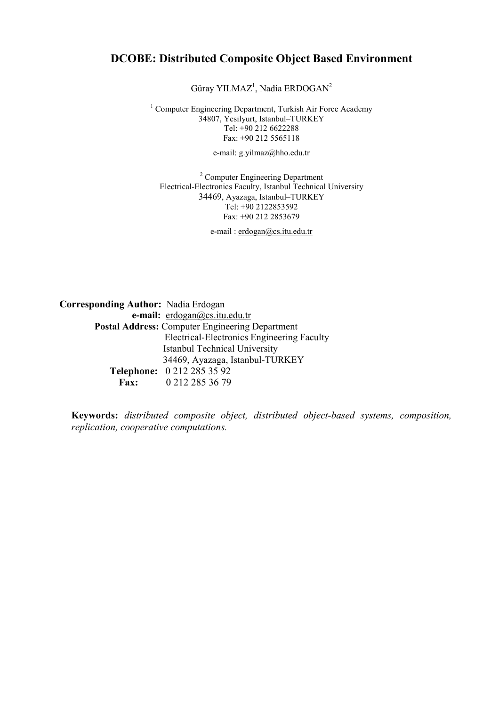## **DCOBE: Distributed Composite Object Based Environment**

Güray YILMAZ<sup>1</sup>, Nadia ERDOGAN<sup>2</sup>

<sup>1</sup> Computer Engineering Department, Turkish Air Force Academy 34807, Yesilyurt, Istanbul–TURKEY Tel: +90 212 6622288 Fax: +90 212 5565118

e-mail: [g.yilmaz@hho.edu.tr](mailto:g.yilmaz@hho.edu.tr)

<sup>2</sup> Computer Engineering Department Electrical-Electronics Faculty, Istanbul Technical University 34469, Ayazaga, Istanbul–TURKEY Tel: +90 2122853592 Fax: +90 212 2853679

e-mail : [erdogan@cs.itu.edu.tr](mailto:erdogan@cs.itu.edu.tr)

**Corresponding Author:** Nadia Erdogan e-mail: [erdogan@cs.itu.edu.tr](mailto:erdogan@cs.itu.edu.tr) **Postal Address:** Computer Engineering Department Electrical-Electronics Engineering Faculty Istanbul Technical University 34469, Ayazaga, Istanbul-TURKEY **Telephone:** 0 212 285 35 92 **Fax:** 0 212 285 36 79

**Keywords:** *distributed composite object, distributed object-based systems, composition, replication, cooperative computations.*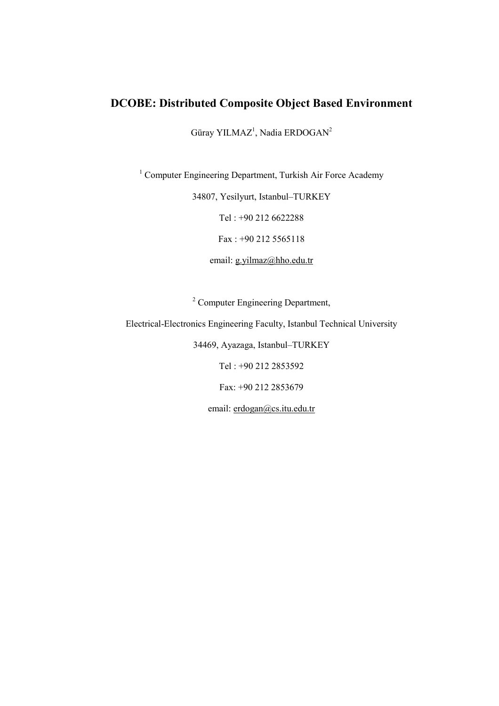## **DCOBE: Distributed Composite Object Based Environment**

Güray YILMAZ<sup>1</sup>, Nadia ERDOGAN<sup>2</sup>

<sup>1</sup> Computer Engineering Department, Turkish Air Force Academy

34807, Yesilyurt, Istanbul–TURKEY

Tel : +90 212 6622288

Fax : +90 212 5565118

email: [g.yilmaz@hho.edu.tr](mailto:g.yilmaz@hho.edu.tr)

<sup>2</sup> Computer Engineering Department,

Electrical-Electronics Engineering Faculty, Istanbul Technical University

34469, Ayazaga, Istanbul–TURKEY

Tel : +90 212 2853592

Fax: +90 212 2853679

email: [erdogan@cs.itu.edu.tr](mailto:erdogan@cs.itu.edu.tr)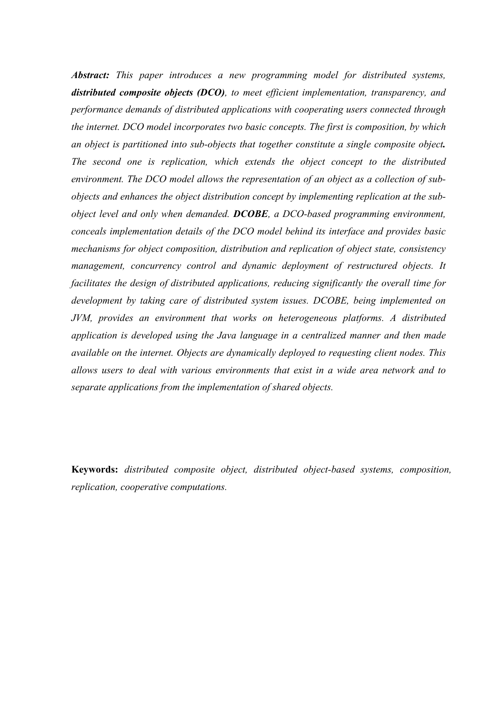*Abstract: This paper introduces a new programming model for distributed systems, distributed composite objects (DCO), to meet efficient implementation, transparency, and performance demands of distributed applications with cooperating users connected through the internet. DCO model incorporates two basic concepts. The first is composition, by which an object is partitioned into sub-objects that together constitute a single composite object. The second one is replication, which extends the object concept to the distributed environment. The DCO model allows the representation of an object as a collection of subobjects and enhances the object distribution concept by implementing replication at the subobject level and only when demanded. DCOBE, a DCO-based programming environment, conceals implementation details of the DCO model behind its interface and provides basic mechanisms for object composition, distribution and replication of object state, consistency management, concurrency control and dynamic deployment of restructured objects. It facilitates the design of distributed applications, reducing significantly the overall time for development by taking care of distributed system issues. DCOBE, being implemented on JVM, provides an environment that works on heterogeneous platforms. A distributed application is developed using the Java language in a centralized manner and then made available on the internet. Objects are dynamically deployed to requesting client nodes. This allows users to deal with various environments that exist in a wide area network and to separate applications from the implementation of shared objects.*

**Keywords:** *distributed composite object, distributed object-based systems, composition, replication, cooperative computations.*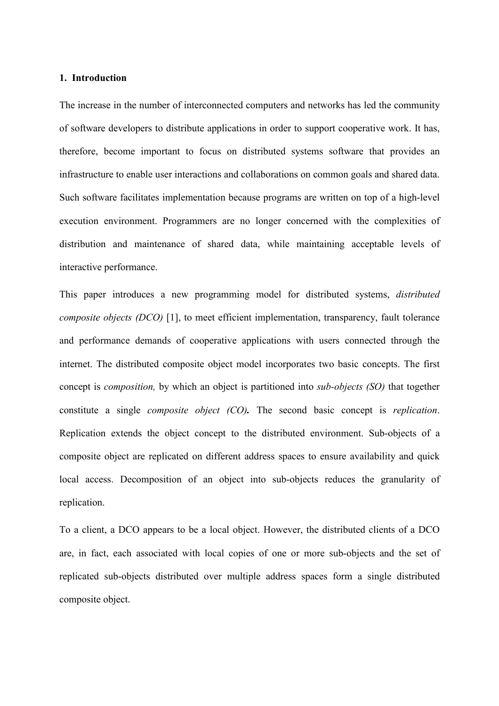#### **1. Introduction**

The increase in the number of interconnected computers and networks has led the community of software developers to distribute applications in order to support cooperative work. It has, therefore, become important to focus on distributed systems software that provides an infrastructure to enable user interactions and collaborations on common goals and shared data. Such software facilitates implementation because programs are written on top of a high-level execution environment. Programmers are no longer concerned with the complexities of distribution and maintenance of shared data, while maintaining acceptable levels of interactive performance.

This paper introduces a new programming model for distributed systems, *distributed composite objects (DCO)* [1], to meet efficient implementation, transparency, fault tolerance and performance demands of cooperative applications with users connected through the internet. The distributed composite object model incorporates two basic concepts. The first concept is *composition,* by which an object is partitioned into *sub-objects (SO)* that together constitute a single *composite object (CO).* The second basic concept is *replication*. Replication extends the object concept to the distributed environment. Sub-objects of a composite object are replicated on different address spaces to ensure availability and quick local access. Decomposition of an object into sub-objects reduces the granularity of replication.

To a client, a DCO appears to be a local object. However, the distributed clients of a DCO are, in fact, each associated with local copies of one or more sub-objects and the set of replicated sub-objects distributed over multiple address spaces form a single distributed composite object.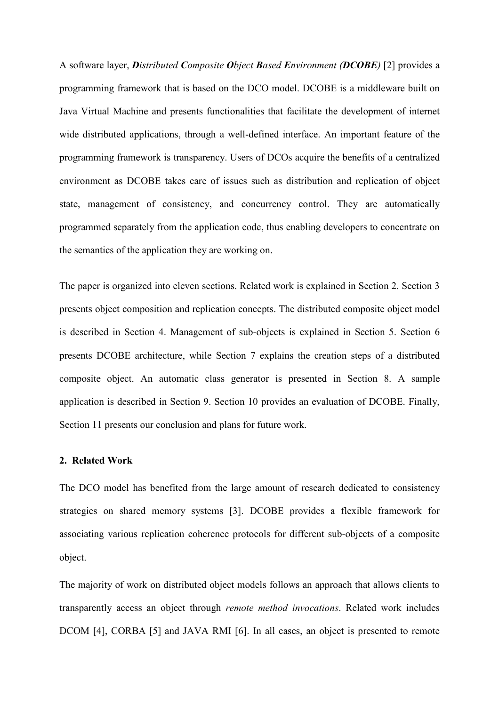A software layer, *Distributed Composite Object Based Environment (DCOBE)* [2] provides a programming framework that is based on the DCO model. DCOBE is a middleware built on Java Virtual Machine and presents functionalities that facilitate the development of internet wide distributed applications, through a well-defined interface. An important feature of the programming framework is transparency. Users of DCOs acquire the benefits of a centralized environment as DCOBE takes care of issues such as distribution and replication of object state, management of consistency, and concurrency control. They are automatically programmed separately from the application code, thus enabling developers to concentrate on the semantics of the application they are working on.

The paper is organized into eleven sections. Related work is explained in Section 2. Section 3 presents object composition and replication concepts. The distributed composite object model is described in Section 4. Management of sub-objects is explained in Section 5. Section 6 presents DCOBE architecture, while Section 7 explains the creation steps of a distributed composite object. An automatic class generator is presented in Section 8. A sample application is described in Section 9. Section 10 provides an evaluation of DCOBE. Finally, Section 11 presents our conclusion and plans for future work.

### **2. Related Work**

The DCO model has benefited from the large amount of research dedicated to consistency strategies on shared memory systems [3]. DCOBE provides a flexible framework for associating various replication coherence protocols for different sub-objects of a composite object.

The majority of work on distributed object models follows an approach that allows clients to transparently access an object through *remote method invocations*. Related work includes DCOM [4], CORBA [5] and JAVA RMI [6]. In all cases, an object is presented to remote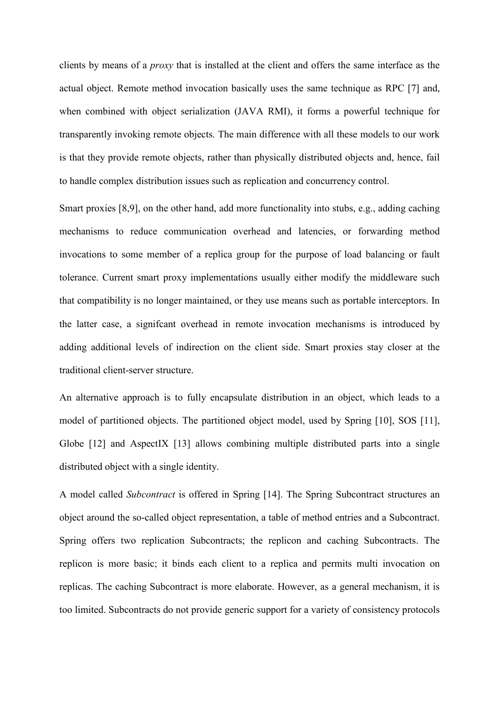clients by means of a *proxy* that is installed at the client and offers the same interface as the actual object. Remote method invocation basically uses the same technique as RPC [7] and, when combined with object serialization (JAVA RMI), it forms a powerful technique for transparently invoking remote objects. The main difference with all these models to our work is that they provide remote objects, rather than physically distributed objects and, hence, fail to handle complex distribution issues such as replication and concurrency control.

Smart proxies [8,9], on the other hand, add more functionality into stubs, e.g., adding caching mechanisms to reduce communication overhead and latencies, or forwarding method invocations to some member of a replica group for the purpose of load balancing or fault tolerance. Current smart proxy implementations usually either modify the middleware such that compatibility is no longer maintained, or they use means such as portable interceptors. In the latter case, a signifcant overhead in remote invocation mechanisms is introduced by adding additional levels of indirection on the client side. Smart proxies stay closer at the traditional client-server structure.

An alternative approach is to fully encapsulate distribution in an object, which leads to a model of partitioned objects. The partitioned object model, used by Spring [10], SOS [11], Globe [12] and AspectIX [13] allows combining multiple distributed parts into a single distributed object with a single identity.

A model called *Subcontract* is offered in Spring [14]. The Spring Subcontract structures an object around the so-called object representation, a table of method entries and a Subcontract. Spring offers two replication Subcontracts; the replicon and caching Subcontracts. The replicon is more basic; it binds each client to a replica and permits multi invocation on replicas. The caching Subcontract is more elaborate. However, as a general mechanism, it is too limited. Subcontracts do not provide generic support for a variety of consistency protocols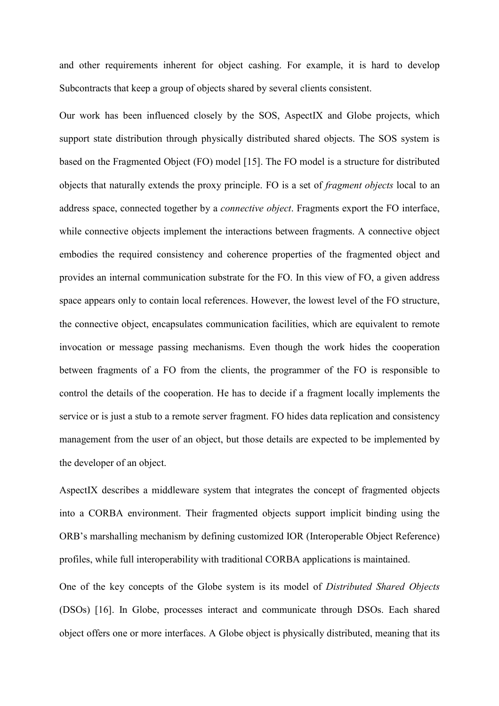and other requirements inherent for object cashing. For example, it is hard to develop Subcontracts that keep a group of objects shared by several clients consistent.

Our work has been influenced closely by the SOS, AspectIX and Globe projects, which support state distribution through physically distributed shared objects. The SOS system is based on the Fragmented Object (FO) model [15]. The FO model is a structure for distributed objects that naturally extends the proxy principle. FO is a set of *fragment objects* local to an address space, connected together by a *connective object*. Fragments export the FO interface, while connective objects implement the interactions between fragments. A connective object embodies the required consistency and coherence properties of the fragmented object and provides an internal communication substrate for the FO. In this view of FO, a given address space appears only to contain local references. However, the lowest level of the FO structure, the connective object, encapsulates communication facilities, which are equivalent to remote invocation or message passing mechanisms. Even though the work hides the cooperation between fragments of a FO from the clients, the programmer of the FO is responsible to control the details of the cooperation. He has to decide if a fragment locally implements the service or is just a stub to a remote server fragment. FO hides data replication and consistency management from the user of an object, but those details are expected to be implemented by the developer of an object.

AspectIX describes a middleware system that integrates the concept of fragmented objects into a CORBA environment. Their fragmented objects support implicit binding using the ORB's marshalling mechanism by defining customized IOR (Interoperable Object Reference) profiles, while full interoperability with traditional CORBA applications is maintained.

One of the key concepts of the Globe system is its model of *Distributed Shared Objects* (DSOs) [16]. In Globe, processes interact and communicate through DSOs. Each shared object offers one or more interfaces. A Globe object is physically distributed, meaning that its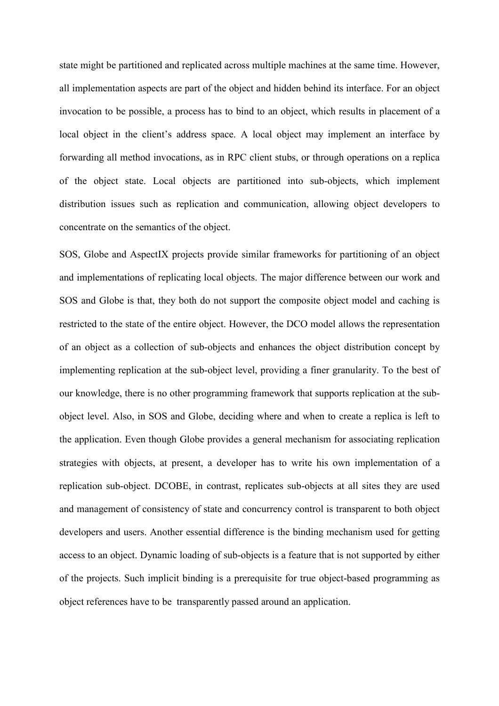state might be partitioned and replicated across multiple machines at the same time. However, all implementation aspects are part of the object and hidden behind its interface. For an object invocation to be possible, a process has to bind to an object, which results in placement of a local object in the client's address space. A local object may implement an interface by forwarding all method invocations, as in RPC client stubs, or through operations on a replica of the object state. Local objects are partitioned into sub-objects, which implement distribution issues such as replication and communication, allowing object developers to concentrate on the semantics of the object.

SOS, Globe and AspectIX projects provide similar frameworks for partitioning of an object and implementations of replicating local objects. The major difference between our work and SOS and Globe is that, they both do not support the composite object model and caching is restricted to the state of the entire object. However, the DCO model allows the representation of an object as a collection of sub-objects and enhances the object distribution concept by implementing replication at the sub-object level, providing a finer granularity. To the best of our knowledge, there is no other programming framework that supports replication at the subobject level. Also, in SOS and Globe, deciding where and when to create a replica is left to the application. Even though Globe provides a general mechanism for associating replication strategies with objects, at present, a developer has to write his own implementation of a replication sub-object. DCOBE, in contrast, replicates sub-objects at all sites they are used and management of consistency of state and concurrency control is transparent to both object developers and users. Another essential difference is the binding mechanism used for getting access to an object. Dynamic loading of sub-objects is a feature that is not supported by either of the projects. Such implicit binding is a prerequisite for true object-based programming as object references have to be transparently passed around an application.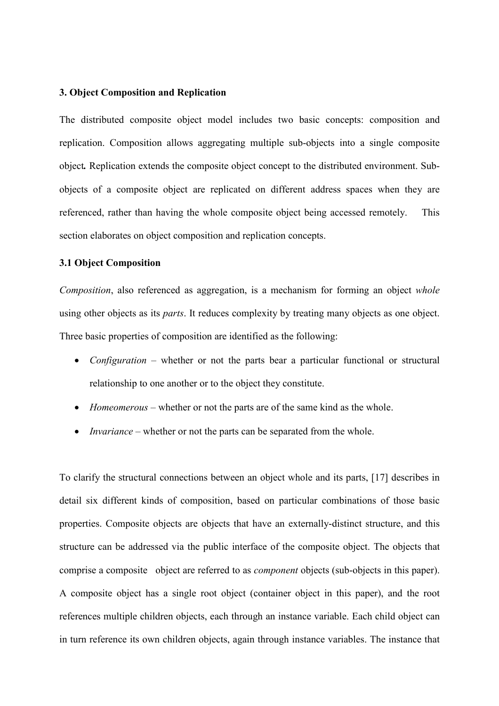## **3. Object Composition and Replication**

The distributed composite object model includes two basic concepts: composition and replication. Composition allows aggregating multiple sub-objects into a single composite object*.* Replication extends the composite object concept to the distributed environment. Subobjects of a composite object are replicated on different address spaces when they are referenced, rather than having the whole composite object being accessed remotely. This section elaborates on object composition and replication concepts.

### **3.1 Object Composition**

*Composition*, also referenced as aggregation, is a mechanism for forming an object *whole* using other objects as its *parts*. It reduces complexity by treating many objects as one object. Three basic properties of composition are identified as the following:

- *Configuration* whether or not the parts bear a particular functional or structural relationship to one another or to the object they constitute.
- *Homeomerous* whether or not the parts are of the same kind as the whole.
- *Invariance* whether or not the parts can be separated from the whole.

To clarify the structural connections between an object whole and its parts, [17] describes in detail six different kinds of composition, based on particular combinations of those basic properties. Composite objects are objects that have an externally-distinct structure, and this structure can be addressed via the public interface of the composite object. The objects that comprise a composite object are referred to as *component* objects (sub-objects in this paper). A composite object has a single root object (container object in this paper), and the root references multiple children objects, each through an instance variable. Each child object can in turn reference its own children objects, again through instance variables. The instance that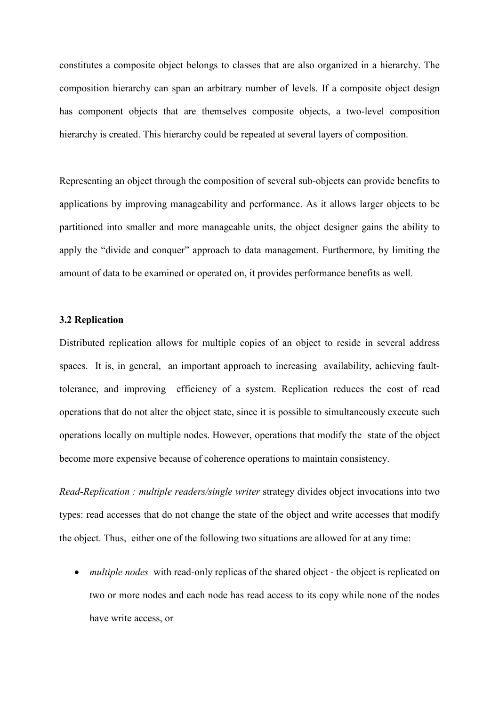constitutes a composite object belongs to classes that are also organized in a hierarchy. The composition hierarchy can span an arbitrary number of levels. If a composite object design has component objects that are themselves composite objects, a two-level composition hierarchy is created. This hierarchy could be repeated at several layers of composition.

Representing an object through the composition of several sub-objects can provide benefits to applications by improving manageability and performance. As it allows larger objects to be partitioned into smaller and more manageable units, the object designer gains the ability to apply the "divide and conquer" approach to data management. Furthermore, by limiting the amount of data to be examined or operated on, it provides performance benefits as well.

## **3.2 Replication**

Distributed replication allows for multiple copies of an object to reside in several address spaces. It is, in general, an important approach to increasing availability, achieving faulttolerance, and improving efficiency of a system. Replication reduces the cost of read operations that do not alter the object state, since it is possible to simultaneously execute such operations locally on multiple nodes. However, operations that modify the state of the object become more expensive because of coherence operations to maintain consistency.

*Read-Replication : multiple readers/single writer* strategy divides object invocations into two types: read accesses that do not change the state of the object and write accesses that modify the object. Thus, either one of the following two situations are allowed for at any time:

• *multiple nodes* with read-only replicas of the shared object - the object is replicated on two or more nodes and each node has read access to its copy while none of the nodes have write access, or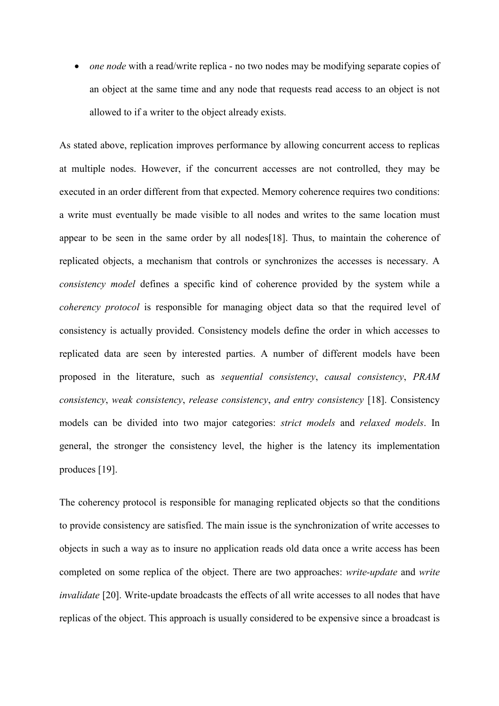• *one node* with a read/write replica - no two nodes may be modifying separate copies of an object at the same time and any node that requests read access to an object is not allowed to if a writer to the object already exists.

As stated above, replication improves performance by allowing concurrent access to replicas at multiple nodes. However, if the concurrent accesses are not controlled, they may be executed in an order different from that expected. Memory coherence requires two conditions: a write must eventually be made visible to all nodes and writes to the same location must appear to be seen in the same order by all nodes[18]. Thus, to maintain the coherence of replicated objects, a mechanism that controls or synchronizes the accesses is necessary. A *consistency model* defines a specific kind of coherence provided by the system while a *coherency protocol* is responsible for managing object data so that the required level of consistency is actually provided. Consistency models define the order in which accesses to replicated data are seen by interested parties. A number of different models have been proposed in the literature, such as *sequential consistency*, *causal consistency*, *PRAM consistency*, *weak consistency*, *release consistency*, *and entry consistency* [18]. Consistency models can be divided into two major categories: *strict models* and *relaxed models*. In general, the stronger the consistency level, the higher is the latency its implementation produces [19].

The coherency protocol is responsible for managing replicated objects so that the conditions to provide consistency are satisfied. The main issue is the synchronization of write accesses to objects in such a way as to insure no application reads old data once a write access has been completed on some replica of the object. There are two approaches: *write-update* and *write invalidate* [20]. Write-update broadcasts the effects of all write accesses to all nodes that have replicas of the object. This approach is usually considered to be expensive since a broadcast is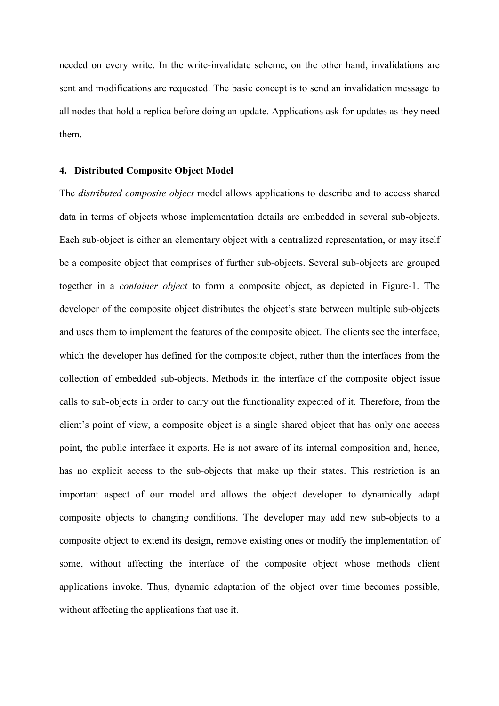needed on every write. In the write-invalidate scheme, on the other hand, invalidations are sent and modifications are requested. The basic concept is to send an invalidation message to all nodes that hold a replica before doing an update. Applications ask for updates as they need them.

## **4. Distributed Composite Object Model**

The *distributed composite object* model allows applications to describe and to access shared data in terms of objects whose implementation details are embedded in several sub-objects. Each sub-object is either an elementary object with a centralized representation, or may itself be a composite object that comprises of further sub-objects. Several sub-objects are grouped together in a *container object* to form a composite object, as depicted in Figure-1. The developer of the composite object distributes the object's state between multiple sub-objects and uses them to implement the features of the composite object. The clients see the interface, which the developer has defined for the composite object, rather than the interfaces from the collection of embedded sub-objects. Methods in the interface of the composite object issue calls to sub-objects in order to carry out the functionality expected of it. Therefore, from the client's point of view, a composite object is a single shared object that has only one access point, the public interface it exports. He is not aware of its internal composition and, hence, has no explicit access to the sub-objects that make up their states. This restriction is an important aspect of our model and allows the object developer to dynamically adapt composite objects to changing conditions. The developer may add new sub-objects to a composite object to extend its design, remove existing ones or modify the implementation of some, without affecting the interface of the composite object whose methods client applications invoke. Thus, dynamic adaptation of the object over time becomes possible, without affecting the applications that use it.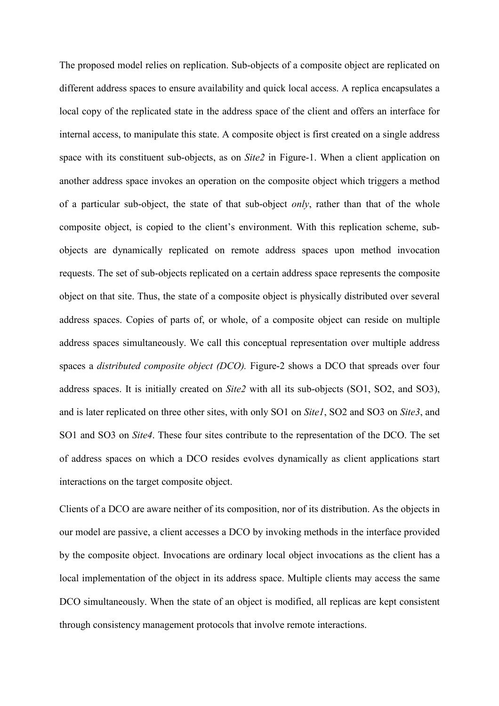The proposed model relies on replication. Sub-objects of a composite object are replicated on different address spaces to ensure availability and quick local access. A replica encapsulates a local copy of the replicated state in the address space of the client and offers an interface for internal access, to manipulate this state. A composite object is first created on a single address space with its constituent sub-objects, as on *Site2* in Figure-1. When a client application on another address space invokes an operation on the composite object which triggers a method of a particular sub-object, the state of that sub-object *only*, rather than that of the whole composite object, is copied to the client's environment. With this replication scheme, subobjects are dynamically replicated on remote address spaces upon method invocation requests. The set of sub-objects replicated on a certain address space represents the composite object on that site. Thus, the state of a composite object is physically distributed over several address spaces. Copies of parts of, or whole, of a composite object can reside on multiple address spaces simultaneously. We call this conceptual representation over multiple address spaces a *distributed composite object (DCO).* Figure-2 shows a DCO that spreads over four address spaces. It is initially created on *Site2* with all its sub-objects (SO1, SO2, and SO3), and is later replicated on three other sites, with only SO1 on *Site1*, SO2 and SO3 on *Site3*, and SO1 and SO3 on *Site4*. These four sites contribute to the representation of the DCO. The set of address spaces on which a DCO resides evolves dynamically as client applications start interactions on the target composite object.

Clients of a DCO are aware neither of its composition, nor of its distribution. As the objects in our model are passive, a client accesses a DCO by invoking methods in the interface provided by the composite object. Invocations are ordinary local object invocations as the client has a local implementation of the object in its address space. Multiple clients may access the same DCO simultaneously. When the state of an object is modified, all replicas are kept consistent through consistency management protocols that involve remote interactions.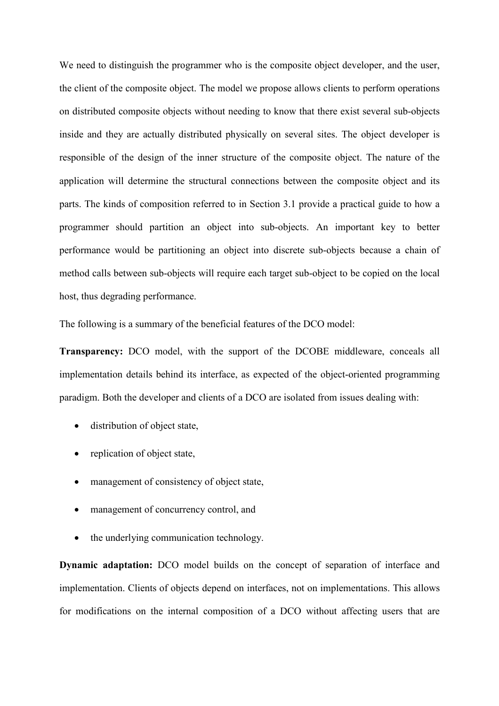We need to distinguish the programmer who is the composite object developer, and the user, the client of the composite object. The model we propose allows clients to perform operations on distributed composite objects without needing to know that there exist several sub-objects inside and they are actually distributed physically on several sites. The object developer is responsible of the design of the inner structure of the composite object. The nature of the application will determine the structural connections between the composite object and its parts. The kinds of composition referred to in Section 3.1 provide a practical guide to how a programmer should partition an object into sub-objects. An important key to better performance would be partitioning an object into discrete sub-objects because a chain of method calls between sub-objects will require each target sub-object to be copied on the local host, thus degrading performance.

The following is a summary of the beneficial features of the DCO model:

**Transparency:** DCO model, with the support of the DCOBE middleware, conceals all implementation details behind its interface, as expected of the object-oriented programming paradigm. Both the developer and clients of a DCO are isolated from issues dealing with:

- distribution of object state,
- replication of object state,
- management of consistency of object state,
- management of concurrency control, and
- the underlying communication technology.

**Dynamic adaptation:** DCO model builds on the concept of separation of interface and implementation. Clients of objects depend on interfaces, not on implementations. This allows for modifications on the internal composition of a DCO without affecting users that are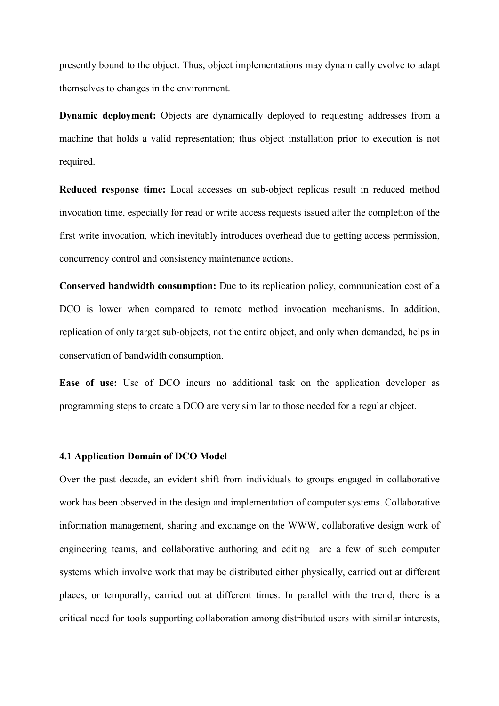presently bound to the object. Thus, object implementations may dynamically evolve to adapt themselves to changes in the environment.

**Dynamic deployment:** Objects are dynamically deployed to requesting addresses from a machine that holds a valid representation; thus object installation prior to execution is not required.

**Reduced response time:** Local accesses on sub-object replicas result in reduced method invocation time, especially for read or write access requests issued after the completion of the first write invocation, which inevitably introduces overhead due to getting access permission, concurrency control and consistency maintenance actions.

**Conserved bandwidth consumption:** Due to its replication policy, communication cost of a DCO is lower when compared to remote method invocation mechanisms. In addition, replication of only target sub-objects, not the entire object, and only when demanded, helps in conservation of bandwidth consumption.

**Ease of use:** Use of DCO incurs no additional task on the application developer as programming steps to create a DCO are very similar to those needed for a regular object.

## **4.1 Application Domain of DCO Model**

Over the past decade, an evident shift from individuals to groups engaged in collaborative work has been observed in the design and implementation of computer systems. Collaborative information management, sharing and exchange on the WWW, collaborative design work of engineering teams, and collaborative authoring and editing are a few of such computer systems which involve work that may be distributed either physically, carried out at different places, or temporally, carried out at different times. In parallel with the trend, there is a critical need for tools supporting collaboration among distributed users with similar interests,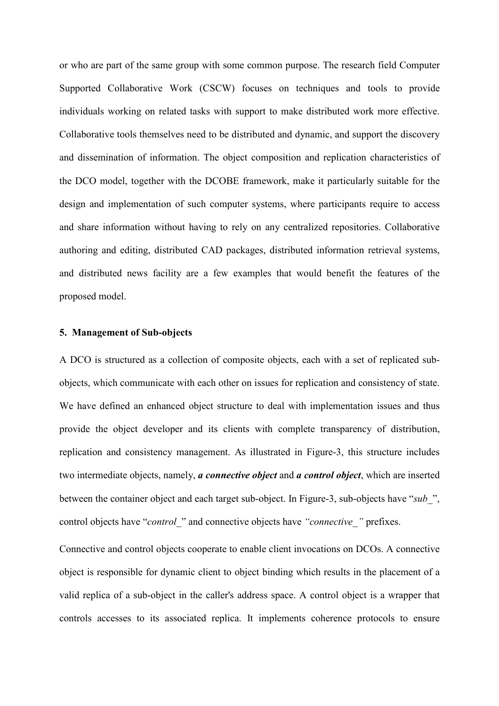or who are part of the same group with some common purpose. The research field Computer Supported Collaborative Work (CSCW) focuses on techniques and tools to provide individuals working on related tasks with support to make distributed work more effective. Collaborative tools themselves need to be distributed and dynamic, and support the discovery and dissemination of information. The object composition and replication characteristics of the DCO model, together with the DCOBE framework, make it particularly suitable for the design and implementation of such computer systems, where participants require to access and share information without having to rely on any centralized repositories. Collaborative authoring and editing, distributed CAD packages, distributed information retrieval systems, and distributed news facility are a few examples that would benefit the features of the proposed model.

#### **5. Management of Sub-objects**

A DCO is structured as a collection of composite objects, each with a set of replicated subobjects, which communicate with each other on issues for replication and consistency of state. We have defined an enhanced object structure to deal with implementation issues and thus provide the object developer and its clients with complete transparency of distribution, replication and consistency management. As illustrated in Figure-3, this structure includes two intermediate objects, namely, *a connective object* and *a control object*, which are inserted between the container object and each target sub-object. In Figure-3, sub-objects have "*sub\_*", control objects have "*control\_*" and connective objects have *"connective\_"* prefixes.

Connective and control objects cooperate to enable client invocations on DCOs. A connective object is responsible for dynamic client to object binding which results in the placement of a valid replica of a sub-object in the caller's address space. A control object is a wrapper that controls accesses to its associated replica. It implements coherence protocols to ensure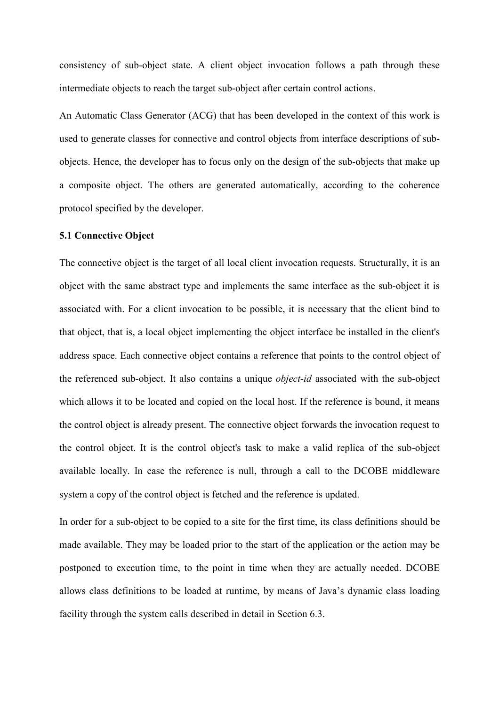consistency of sub-object state. A client object invocation follows a path through these intermediate objects to reach the target sub-object after certain control actions.

An Automatic Class Generator (ACG) that has been developed in the context of this work is used to generate classes for connective and control objects from interface descriptions of subobjects. Hence, the developer has to focus only on the design of the sub-objects that make up a composite object. The others are generated automatically, according to the coherence protocol specified by the developer.

## **5.1 Connective Object**

The connective object is the target of all local client invocation requests. Structurally, it is an object with the same abstract type and implements the same interface as the sub-object it is associated with. For a client invocation to be possible, it is necessary that the client bind to that object, that is, a local object implementing the object interface be installed in the client's address space. Each connective object contains a reference that points to the control object of the referenced sub-object. It also contains a unique *object-id* associated with the sub-object which allows it to be located and copied on the local host. If the reference is bound, it means the control object is already present. The connective object forwards the invocation request to the control object. It is the control object's task to make a valid replica of the sub-object available locally. In case the reference is null, through a call to the DCOBE middleware system a copy of the control object is fetched and the reference is updated.

In order for a sub-object to be copied to a site for the first time, its class definitions should be made available. They may be loaded prior to the start of the application or the action may be postponed to execution time, to the point in time when they are actually needed. DCOBE allows class definitions to be loaded at runtime, by means of Java's dynamic class loading facility through the system calls described in detail in Section 6.3.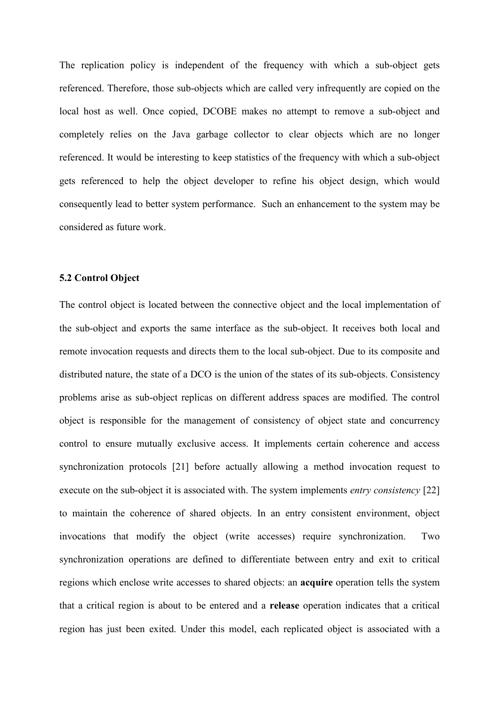The replication policy is independent of the frequency with which a sub-object gets referenced. Therefore, those sub-objects which are called very infrequently are copied on the local host as well. Once copied, DCOBE makes no attempt to remove a sub-object and completely relies on the Java garbage collector to clear objects which are no longer referenced. It would be interesting to keep statistics of the frequency with which a sub-object gets referenced to help the object developer to refine his object design, which would consequently lead to better system performance. Such an enhancement to the system may be considered as future work.

## **5.2 Control Object**

The control object is located between the connective object and the local implementation of the sub-object and exports the same interface as the sub-object. It receives both local and remote invocation requests and directs them to the local sub-object. Due to its composite and distributed nature, the state of a DCO is the union of the states of its sub-objects. Consistency problems arise as sub-object replicas on different address spaces are modified. The control object is responsible for the management of consistency of object state and concurrency control to ensure mutually exclusive access. It implements certain coherence and access synchronization protocols [21] before actually allowing a method invocation request to execute on the sub-object it is associated with. The system implements *entry consistency* [22] to maintain the coherence of shared objects. In an entry consistent environment, object invocations that modify the object (write accesses) require synchronization. Two synchronization operations are defined to differentiate between entry and exit to critical regions which enclose write accesses to shared objects: an **acquire** operation tells the system that a critical region is about to be entered and a **release** operation indicates that a critical region has just been exited. Under this model, each replicated object is associated with a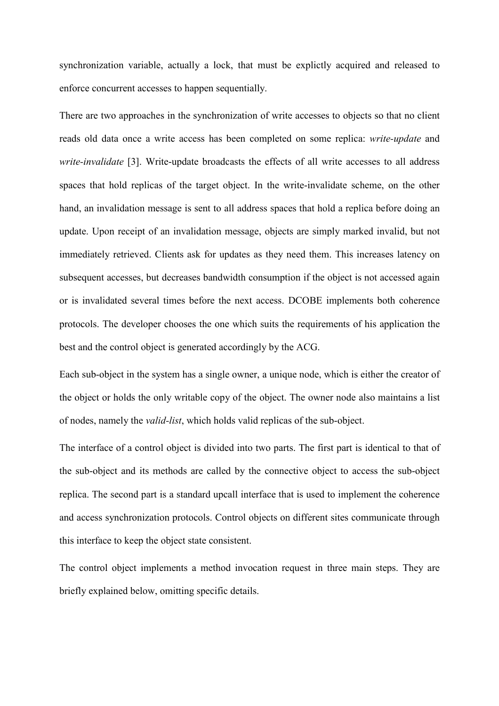synchronization variable, actually a lock, that must be explictly acquired and released to enforce concurrent accesses to happen sequentially.

There are two approaches in the synchronization of write accesses to objects so that no client reads old data once a write access has been completed on some replica: *write-update* and *write-invalidate* [3]. Write-update broadcasts the effects of all write accesses to all address spaces that hold replicas of the target object. In the write-invalidate scheme, on the other hand, an invalidation message is sent to all address spaces that hold a replica before doing an update. Upon receipt of an invalidation message, objects are simply marked invalid, but not immediately retrieved. Clients ask for updates as they need them. This increases latency on subsequent accesses, but decreases bandwidth consumption if the object is not accessed again or is invalidated several times before the next access. DCOBE implements both coherence protocols. The developer chooses the one which suits the requirements of his application the best and the control object is generated accordingly by the ACG.

Each sub-object in the system has a single owner, a unique node, which is either the creator of the object or holds the only writable copy of the object. The owner node also maintains a list of nodes, namely the *valid-list*, which holds valid replicas of the sub-object.

The interface of a control object is divided into two parts. The first part is identical to that of the sub-object and its methods are called by the connective object to access the sub-object replica. The second part is a standard upcall interface that is used to implement the coherence and access synchronization protocols. Control objects on different sites communicate through this interface to keep the object state consistent.

The control object implements a method invocation request in three main steps. They are briefly explained below, omitting specific details.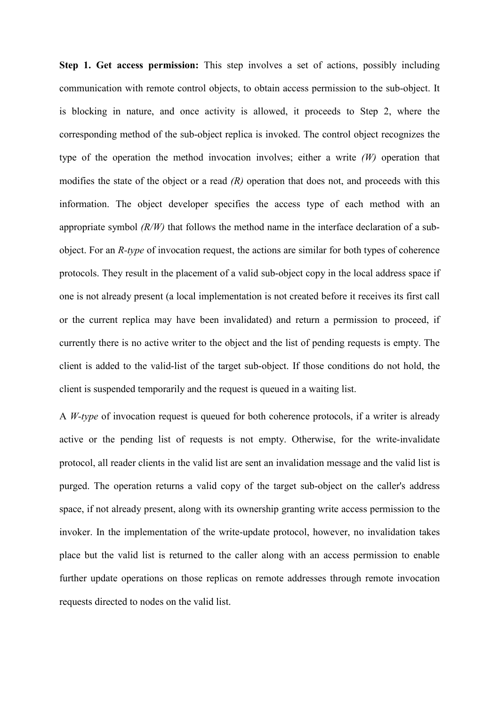**Step 1. Get access permission:** This step involves a set of actions, possibly including communication with remote control objects, to obtain access permission to the sub-object. It is blocking in nature, and once activity is allowed, it proceeds to Step 2, where the corresponding method of the sub-object replica is invoked. The control object recognizes the type of the operation the method invocation involves; either a write *(W)* operation that modifies the state of the object or a read *(R)* operation that does not, and proceeds with this information. The object developer specifies the access type of each method with an appropriate symbol *(R/W)* that follows the method name in the interface declaration of a subobject. For an *R-type* of invocation request, the actions are similar for both types of coherence protocols. They result in the placement of a valid sub-object copy in the local address space if one is not already present (a local implementation is not created before it receives its first call or the current replica may have been invalidated) and return a permission to proceed, if currently there is no active writer to the object and the list of pending requests is empty. The client is added to the valid-list of the target sub-object. If those conditions do not hold, the client is suspended temporarily and the request is queued in a waiting list.

A *W-type* of invocation request is queued for both coherence protocols, if a writer is already active or the pending list of requests is not empty. Otherwise, for the write-invalidate protocol, all reader clients in the valid list are sent an invalidation message and the valid list is purged. The operation returns a valid copy of the target sub-object on the caller's address space, if not already present, along with its ownership granting write access permission to the invoker. In the implementation of the write-update protocol, however, no invalidation takes place but the valid list is returned to the caller along with an access permission to enable further update operations on those replicas on remote addresses through remote invocation requests directed to nodes on the valid list.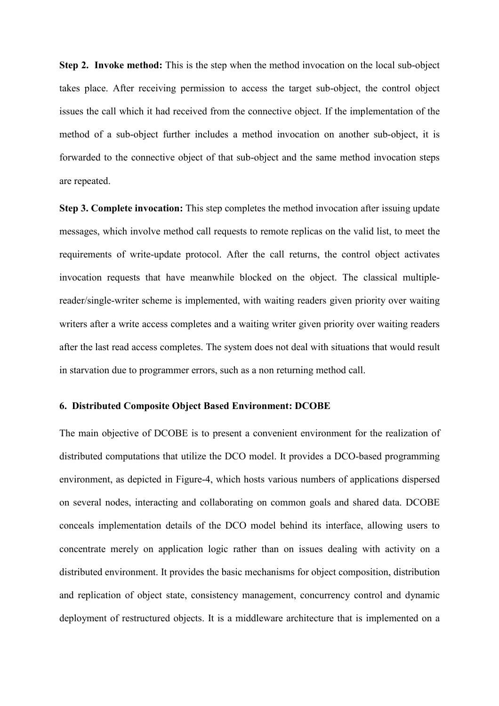**Step 2. Invoke method:** This is the step when the method invocation on the local sub-object takes place. After receiving permission to access the target sub-object, the control object issues the call which it had received from the connective object. If the implementation of the method of a sub-object further includes a method invocation on another sub-object, it is forwarded to the connective object of that sub-object and the same method invocation steps are repeated.

**Step 3. Complete invocation:** This step completes the method invocation after issuing update messages, which involve method call requests to remote replicas on the valid list, to meet the requirements of write-update protocol. After the call returns, the control object activates invocation requests that have meanwhile blocked on the object. The classical multiplereader/single-writer scheme is implemented, with waiting readers given priority over waiting writers after a write access completes and a waiting writer given priority over waiting readers after the last read access completes. The system does not deal with situations that would result in starvation due to programmer errors, such as a non returning method call.

## **6. Distributed Composite Object Based Environment: DCOBE**

The main objective of DCOBE is to present a convenient environment for the realization of distributed computations that utilize the DCO model. It provides a DCO-based programming environment, as depicted in Figure-4, which hosts various numbers of applications dispersed on several nodes, interacting and collaborating on common goals and shared data. DCOBE conceals implementation details of the DCO model behind its interface, allowing users to concentrate merely on application logic rather than on issues dealing with activity on a distributed environment. It provides the basic mechanisms for object composition, distribution and replication of object state, consistency management, concurrency control and dynamic deployment of restructured objects. It is a middleware architecture that is implemented on a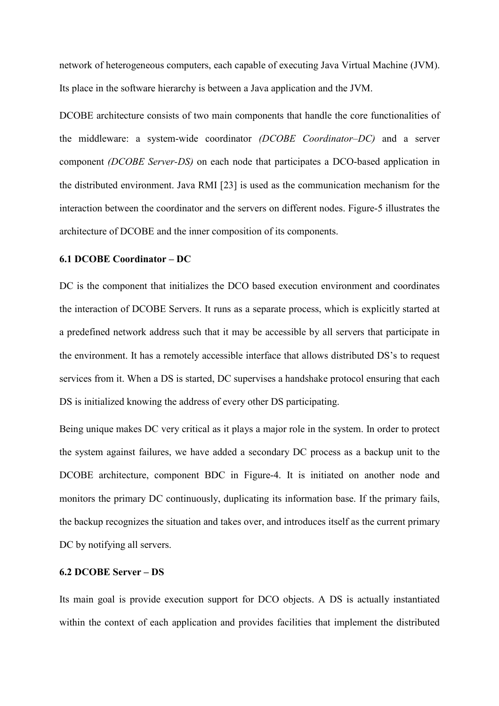network of heterogeneous computers, each capable of executing Java Virtual Machine (JVM). Its place in the software hierarchy is between a Java application and the JVM.

DCOBE architecture consists of two main components that handle the core functionalities of the middleware: a system-wide coordinator *(DCOBE Coordinator–DC)* and a server component *(DCOBE Server-DS)* on each node that participates a DCO-based application in the distributed environment. Java RMI [23] is used as the communication mechanism for the interaction between the coordinator and the servers on different nodes. Figure-5 illustrates the architecture of DCOBE and the inner composition of its components.

#### **6.1 DCOBE Coordinator – DC**

DC is the component that initializes the DCO based execution environment and coordinates the interaction of DCOBE Servers. It runs as a separate process, which is explicitly started at a predefined network address such that it may be accessible by all servers that participate in the environment. It has a remotely accessible interface that allows distributed DS's to request services from it. When a DS is started, DC supervises a handshake protocol ensuring that each DS is initialized knowing the address of every other DS participating.

Being unique makes DC very critical as it plays a major role in the system. In order to protect the system against failures, we have added a secondary DC process as a backup unit to the DCOBE architecture, component BDC in Figure-4. It is initiated on another node and monitors the primary DC continuously, duplicating its information base. If the primary fails, the backup recognizes the situation and takes over, and introduces itself as the current primary DC by notifying all servers.

### **6.2 DCOBE Server – DS**

Its main goal is provide execution support for DCO objects. A DS is actually instantiated within the context of each application and provides facilities that implement the distributed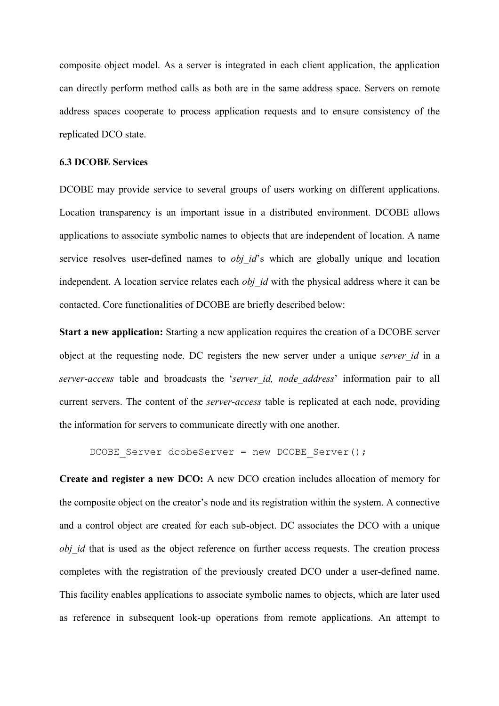composite object model. As a server is integrated in each client application, the application can directly perform method calls as both are in the same address space. Servers on remote address spaces cooperate to process application requests and to ensure consistency of the replicated DCO state.

## **6.3 DCOBE Services**

DCOBE may provide service to several groups of users working on different applications. Location transparency is an important issue in a distributed environment. DCOBE allows applications to associate symbolic names to objects that are independent of location. A name service resolves user-defined names to *obj id*'s which are globally unique and location independent. A location service relates each *obj* id with the physical address where it can be contacted. Core functionalities of DCOBE are briefly described below:

**Start a new application:** Starting a new application requires the creation of a DCOBE server object at the requesting node. DC registers the new server under a unique *server* id in a *server-access* table and broadcasts the '*server\_id, node\_address*' information pair to all current servers. The content of the *server-access* table is replicated at each node, providing the information for servers to communicate directly with one another.

```
DCOBE Server dcobeServer = new DCOBE Server();
```
**Create and register a new DCO:** A new DCO creation includes allocation of memory for the composite object on the creator's node and its registration within the system. A connective and a control object are created for each sub-object. DC associates the DCO with a unique *obj id* that is used as the object reference on further access requests. The creation process completes with the registration of the previously created DCO under a user-defined name. This facility enables applications to associate symbolic names to objects, which are later used as reference in subsequent look-up operations from remote applications. An attempt to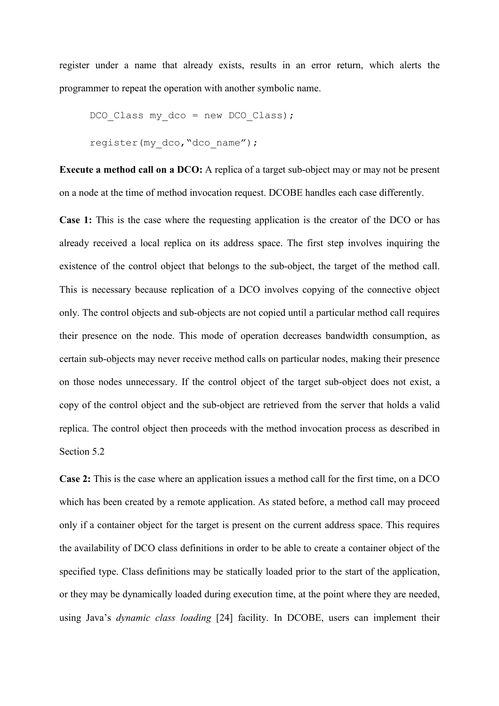register under a name that already exists, results in an error return, which alerts the programmer to repeat the operation with another symbolic name.

 $DCO\_Class$   $my\_dco$  = new  $DCO$   $Class$ );

register(my dco, "dco name");

**Execute a method call on a DCO:** A replica of a target sub-object may or may not be present on a node at the time of method invocation request. DCOBE handles each case differently.

**Case 1:** This is the case where the requesting application is the creator of the DCO or has already received a local replica on its address space. The first step involves inquiring the existence of the control object that belongs to the sub-object, the target of the method call. This is necessary because replication of a DCO involves copying of the connective object only. The control objects and sub-objects are not copied until a particular method call requires their presence on the node. This mode of operation decreases bandwidth consumption, as certain sub-objects may never receive method calls on particular nodes, making their presence on those nodes unnecessary. If the control object of the target sub-object does not exist, a copy of the control object and the sub-object are retrieved from the server that holds a valid replica. The control object then proceeds with the method invocation process as described in Section 5.2

**Case 2:** This is the case where an application issues a method call for the first time, on a DCO which has been created by a remote application. As stated before, a method call may proceed only if a container object for the target is present on the current address space. This requires the availability of DCO class definitions in order to be able to create a container object of the specified type. Class definitions may be statically loaded prior to the start of the application, or they may be dynamically loaded during execution time, at the point where they are needed, using Java's *dynamic class loading* [24] facility. In DCOBE, users can implement their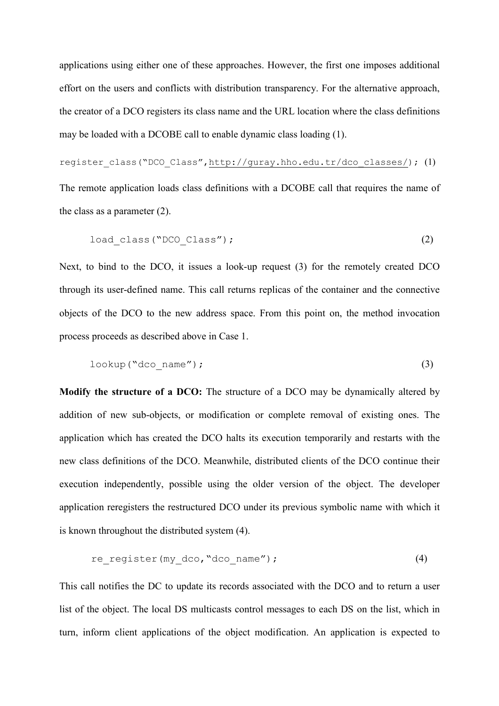applications using either one of these approaches. However, the first one imposes additional effort on the users and conflicts with distribution transparency. For the alternative approach, the creator of a DCO registers its class name and the URL location where the class definitions may be loaded with a DCOBE call to enable dynamic class loading (1).

```
register class("DCO Class",http://guray.hho.edu.tr/dco classes/); (1)
```
The remote application loads class definitions with a DCOBE call that requires the name of the class as a parameter (2).

$$
load\_class("DCO\_Class");
$$
\n(2)

Next, to bind to the DCO, it issues a look-up request (3) for the remotely created DCO through its user-defined name. This call returns replicas of the container and the connective objects of the DCO to the new address space. From this point on, the method invocation process proceeds as described above in Case 1.

$$
lookup("dco_name");
$$
\n
$$
(3)
$$

**Modify the structure of a DCO:** The structure of a DCO may be dynamically altered by addition of new sub-objects, or modification or complete removal of existing ones. The application which has created the DCO halts its execution temporarily and restarts with the new class definitions of the DCO. Meanwhile, distributed clients of the DCO continue their execution independently, possible using the older version of the object. The developer application reregisters the restructured DCO under its previous symbolic name with which it is known throughout the distributed system (4).

$$
re\_register(my\_dco, "dco_name");
$$
\n(4)

This call notifies the DC to update its records associated with the DCO and to return a user list of the object. The local DS multicasts control messages to each DS on the list, which in turn, inform client applications of the object modification. An application is expected to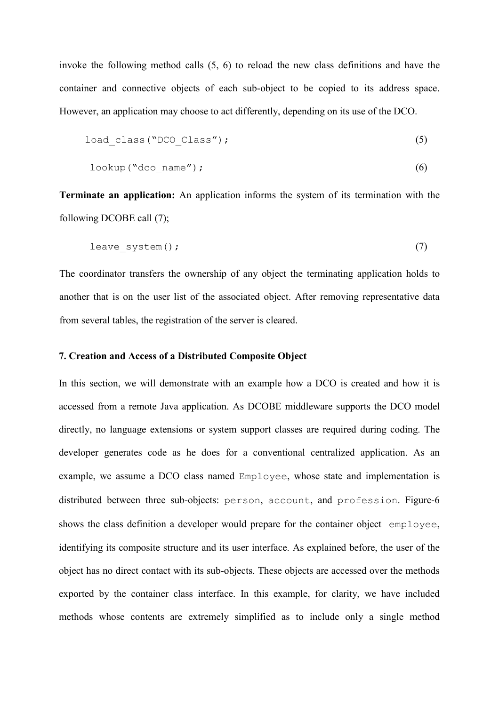invoke the following method calls (5, 6) to reload the new class definitions and have the container and connective objects of each sub-object to be copied to its address space. However, an application may choose to act differently, depending on its use of the DCO.

$$
load\_class("DCO\_Class");
$$
\n
$$
(5)
$$

$$
lookup("dco_name");
$$
\n
$$
(6)
$$

**Terminate an application:** An application informs the system of its termination with the following DCOBE call (7);

$$
leave\_system(); \qquad (7)
$$

The coordinator transfers the ownership of any object the terminating application holds to another that is on the user list of the associated object. After removing representative data from several tables, the registration of the server is cleared.

## **7. Creation and Access of a Distributed Composite Object**

In this section, we will demonstrate with an example how a DCO is created and how it is accessed from a remote Java application. As DCOBE middleware supports the DCO model directly, no language extensions or system support classes are required during coding. The developer generates code as he does for a conventional centralized application. As an example, we assume a DCO class named Employee, whose state and implementation is distributed between three sub-objects: person, account, and profession. Figure-6 shows the class definition a developer would prepare for the container object employee, identifying its composite structure and its user interface. As explained before, the user of the object has no direct contact with its sub-objects. These objects are accessed over the methods exported by the container class interface. In this example, for clarity, we have included methods whose contents are extremely simplified as to include only a single method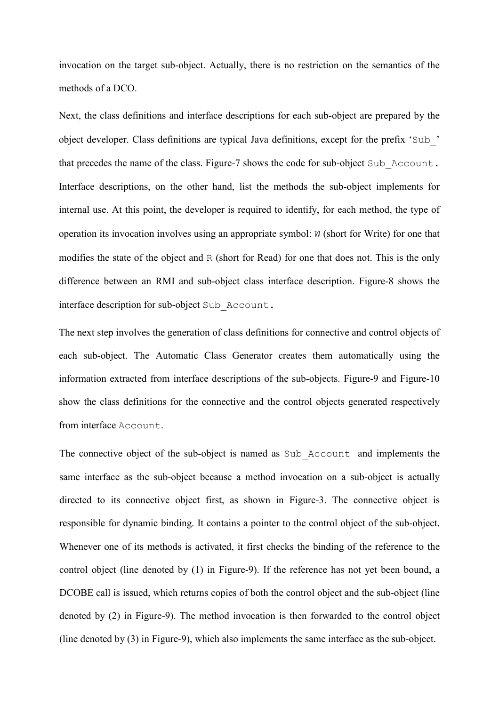invocation on the target sub-object. Actually, there is no restriction on the semantics of the methods of a DCO.

Next, the class definitions and interface descriptions for each sub-object are prepared by the object developer. Class definitions are typical Java definitions, except for the prefix 'Sub\_' that precedes the name of the class. Figure-7 shows the code for sub-object Sub Account. Interface descriptions, on the other hand, list the methods the sub-object implements for internal use. At this point, the developer is required to identify, for each method, the type of operation its invocation involves using an appropriate symbol: W (short for Write) for one that modifies the state of the object and R (short for Read) for one that does not. This is the only difference between an RMI and sub-object class interface description. Figure-8 shows the interface description for sub-object Sub\_Account.

The next step involves the generation of class definitions for connective and control objects of each sub-object. The Automatic Class Generator creates them automatically using the information extracted from interface descriptions of the sub-objects. Figure-9 and Figure-10 show the class definitions for the connective and the control objects generated respectively from interface Account.

The connective object of the sub-object is named as Sub\_Account and implements the same interface as the sub-object because a method invocation on a sub-object is actually directed to its connective object first, as shown in Figure-3. The connective object is responsible for dynamic binding. It contains a pointer to the control object of the sub-object. Whenever one of its methods is activated, it first checks the binding of the reference to the control object (line denoted by (1) in Figure-9). If the reference has not yet been bound, a DCOBE call is issued, which returns copies of both the control object and the sub-object (line denoted by (2) in Figure-9). The method invocation is then forwarded to the control object (line denoted by (3) in Figure-9), which also implements the same interface as the sub-object.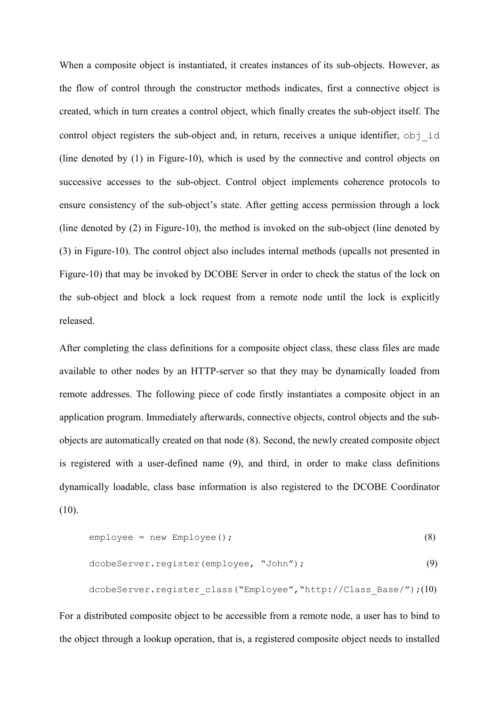When a composite object is instantiated, it creates instances of its sub-objects. However, as the flow of control through the constructor methods indicates, first a connective object is created, which in turn creates a control object, which finally creates the sub-object itself. The control object registers the sub-object and, in return, receives a unique identifier,  $\circ b$ <sup>j</sup> id (line denoted by (1) in Figure-10), which is used by the connective and control objects on successive accesses to the sub-object. Control object implements coherence protocols to ensure consistency of the sub-object's state. After getting access permission through a lock (line denoted by (2) in Figure-10), the method is invoked on the sub-object (line denoted by (3) in Figure-10). The control object also includes internal methods (upcalls not presented in Figure-10) that may be invoked by DCOBE Server in order to check the status of the lock on the sub-object and block a lock request from a remote node until the lock is explicitly released.

After completing the class definitions for a composite object class, these class files are made available to other nodes by an HTTP-server so that they may be dynamically loaded from remote addresses. The following piece of code firstly instantiates a composite object in an application program. Immediately afterwards, connective objects, control objects and the subobjects are automatically created on that node (8). Second, the newly created composite object is registered with a user-defined name (9), and third, in order to make class definitions dynamically loadable, class base information is also registered to the DCOBE Coordinator  $(10).$ 

employee = new Employee(); (8) dcobeServer.register(employee, "John"); (9) dcobeServer.register\_class("Employee","http://Class\_Base/");(10)

For a distributed composite object to be accessible from a remote node, a user has to bind to the object through a lookup operation, that is, a registered composite object needs to installed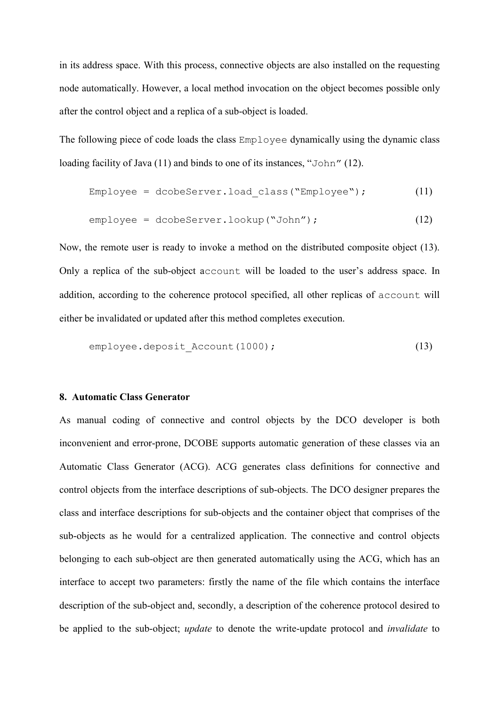in its address space. With this process, connective objects are also installed on the requesting node automatically. However, a local method invocation on the object becomes possible only after the control object and a replica of a sub-object is loaded.

The following piece of code loads the class Employee dynamically using the dynamic class loading facility of Java (11) and binds to one of its instances, "John" (12).

$$
\texttt{Employee} = \texttt{dcobeserver.load_class("Employee");} \tag{11}
$$

$$
employee = decobeServer.closeup("John"); \qquad (12)
$$

Now, the remote user is ready to invoke a method on the distributed composite object (13). Only a replica of the sub-object account will be loaded to the user's address space. In addition, according to the coherence protocol specified, all other replicas of account will either be invalidated or updated after this method completes execution.

$$
employee.deposit\_Account(1000); \qquad (13)
$$

#### **8. Automatic Class Generator**

As manual coding of connective and control objects by the DCO developer is both inconvenient and error-prone, DCOBE supports automatic generation of these classes via an Automatic Class Generator (ACG). ACG generates class definitions for connective and control objects from the interface descriptions of sub-objects. The DCO designer prepares the class and interface descriptions for sub-objects and the container object that comprises of the sub-objects as he would for a centralized application. The connective and control objects belonging to each sub-object are then generated automatically using the ACG, which has an interface to accept two parameters: firstly the name of the file which contains the interface description of the sub-object and, secondly, a description of the coherence protocol desired to be applied to the sub-object; *update* to denote the write-update protocol and *invalidate* to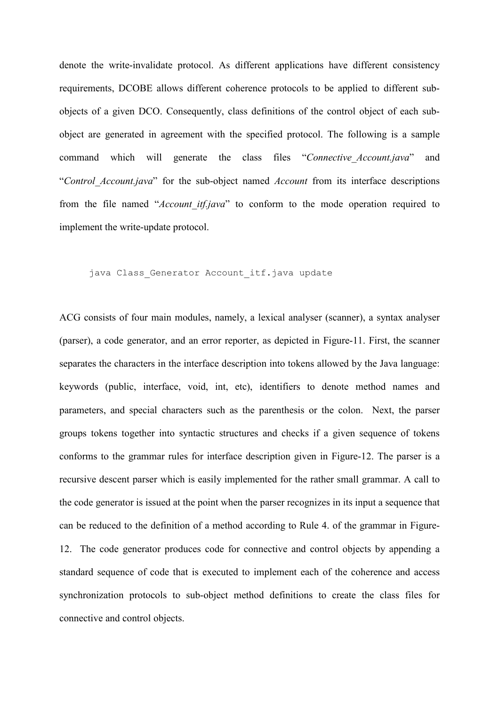denote the write-invalidate protocol. As different applications have different consistency requirements, DCOBE allows different coherence protocols to be applied to different subobjects of a given DCO. Consequently, class definitions of the control object of each subobject are generated in agreement with the specified protocol. The following is a sample command which will generate the class files "*Connective\_Account.java*" and "*Control\_Account.java*" for the sub-object named *Account* from its interface descriptions from the file named "*Account\_itf.java*" to conform to the mode operation required to implement the write-update protocol.

## java Class Generator Account itf.java update

ACG consists of four main modules, namely, a lexical analyser (scanner), a syntax analyser (parser), a code generator, and an error reporter, as depicted in Figure-11. First, the scanner separates the characters in the interface description into tokens allowed by the Java language: keywords (public, interface, void, int, etc), identifiers to denote method names and parameters, and special characters such as the parenthesis or the colon. Next, the parser groups tokens together into syntactic structures and checks if a given sequence of tokens conforms to the grammar rules for interface description given in Figure-12. The parser is a recursive descent parser which is easily implemented for the rather small grammar. A call to the code generator is issued at the point when the parser recognizes in its input a sequence that can be reduced to the definition of a method according to Rule 4. of the grammar in Figure-12. The code generator produces code for connective and control objects by appending a standard sequence of code that is executed to implement each of the coherence and access synchronization protocols to sub-object method definitions to create the class files for connective and control objects.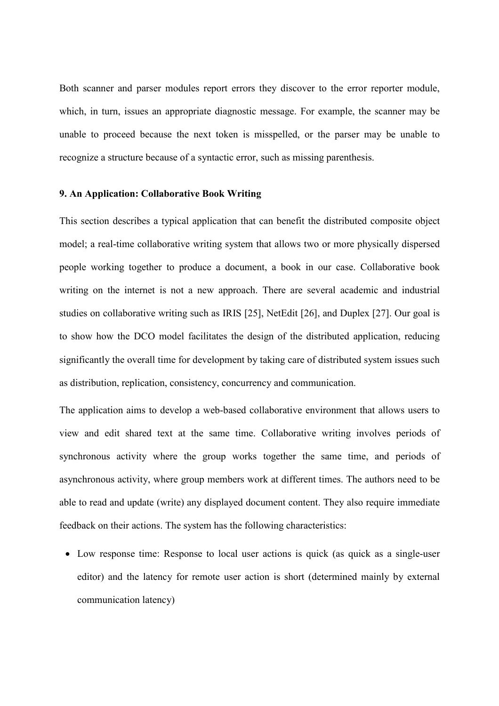Both scanner and parser modules report errors they discover to the error reporter module, which, in turn, issues an appropriate diagnostic message. For example, the scanner may be unable to proceed because the next token is misspelled, or the parser may be unable to recognize a structure because of a syntactic error, such as missing parenthesis.

### **9. An Application: Collaborative Book Writing**

This section describes a typical application that can benefit the distributed composite object model; a real-time collaborative writing system that allows two or more physically dispersed people working together to produce a document, a book in our case. Collaborative book writing on the internet is not a new approach. There are several academic and industrial studies on collaborative writing such as IRIS [25], NetEdit [26], and Duplex [27]. Our goal is to show how the DCO model facilitates the design of the distributed application, reducing significantly the overall time for development by taking care of distributed system issues such as distribution, replication, consistency, concurrency and communication.

The application aims to develop a web-based collaborative environment that allows users to view and edit shared text at the same time. Collaborative writing involves periods of synchronous activity where the group works together the same time, and periods of asynchronous activity, where group members work at different times. The authors need to be able to read and update (write) any displayed document content. They also require immediate feedback on their actions. The system has the following characteristics:

• Low response time: Response to local user actions is quick (as quick as a single-user editor) and the latency for remote user action is short (determined mainly by external communication latency)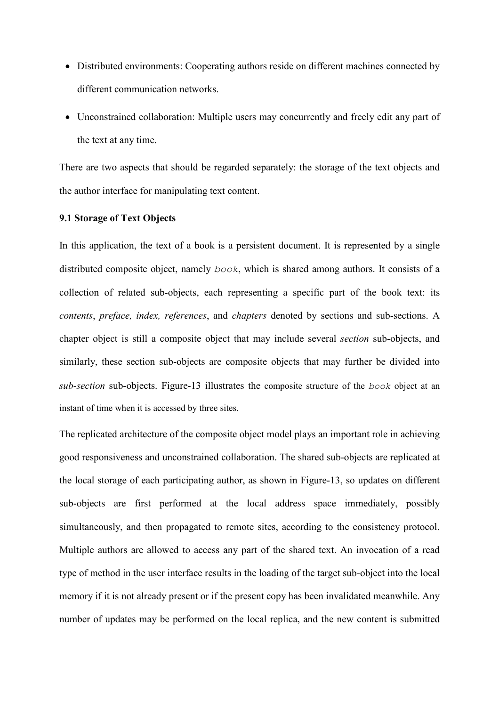- Distributed environments: Cooperating authors reside on different machines connected by different communication networks.
- Unconstrained collaboration: Multiple users may concurrently and freely edit any part of the text at any time.

There are two aspects that should be regarded separately: the storage of the text objects and the author interface for manipulating text content.

## **9.1 Storage of Text Objects**

In this application, the text of a book is a persistent document. It is represented by a single distributed composite object, namely *book*, which is shared among authors. It consists of a collection of related sub-objects, each representing a specific part of the book text: its *contents*, *preface, index, references*, and *chapters* denoted by sections and sub-sections. A chapter object is still a composite object that may include several *section* sub-objects, and similarly, these section sub-objects are composite objects that may further be divided into *sub-section* sub-objects. Figure-13 illustrates the composite structure of the *book* object at an instant of time when it is accessed by three sites.

The replicated architecture of the composite object model plays an important role in achieving good responsiveness and unconstrained collaboration. The shared sub-objects are replicated at the local storage of each participating author, as shown in Figure-13, so updates on different sub-objects are first performed at the local address space immediately, possibly simultaneously, and then propagated to remote sites, according to the consistency protocol. Multiple authors are allowed to access any part of the shared text. An invocation of a read type of method in the user interface results in the loading of the target sub-object into the local memory if it is not already present or if the present copy has been invalidated meanwhile. Any number of updates may be performed on the local replica, and the new content is submitted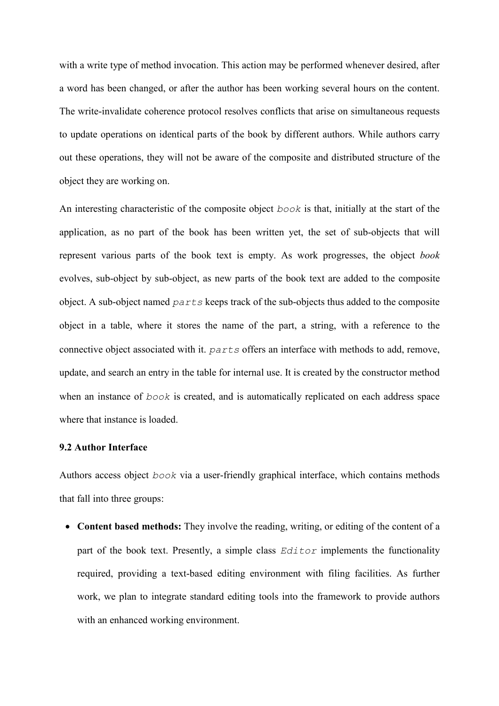with a write type of method invocation. This action may be performed whenever desired, after a word has been changed, or after the author has been working several hours on the content. The write-invalidate coherence protocol resolves conflicts that arise on simultaneous requests to update operations on identical parts of the book by different authors. While authors carry out these operations, they will not be aware of the composite and distributed structure of the object they are working on.

An interesting characteristic of the composite object *book* is that, initially at the start of the application, as no part of the book has been written yet, the set of sub-objects that will represent various parts of the book text is empty. As work progresses, the object *book* evolves, sub-object by sub-object, as new parts of the book text are added to the composite object. A sub-object named *parts* keeps track of the sub-objects thus added to the composite object in a table, where it stores the name of the part, a string, with a reference to the connective object associated with it. *parts* offers an interface with methods to add, remove, update, and search an entry in the table for internal use. It is created by the constructor method when an instance of *book* is created, and is automatically replicated on each address space where that instance is loaded.

## **9.2 Author Interface**

Authors access object *book* via a user-friendly graphical interface, which contains methods that fall into three groups:

• **Content based methods:** They involve the reading, writing, or editing of the content of a part of the book text. Presently, a simple class *Editor* implements the functionality required, providing a text-based editing environment with filing facilities. As further work, we plan to integrate standard editing tools into the framework to provide authors with an enhanced working environment.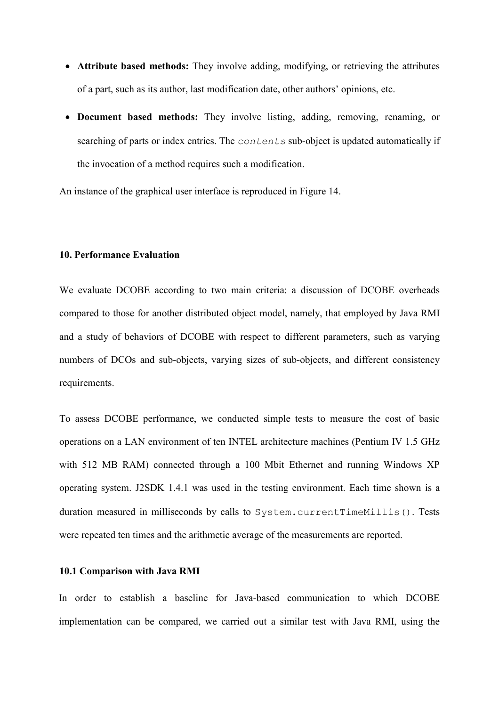- **Attribute based methods:** They involve adding, modifying, or retrieving the attributes of a part, such as its author, last modification date, other authors' opinions, etc.
- **Document based methods:** They involve listing, adding, removing, renaming, or searching of parts or index entries. The *contents* sub-object is updated automatically if the invocation of a method requires such a modification.

An instance of the graphical user interface is reproduced in Figure 14.

## **10. Performance Evaluation**

We evaluate DCOBE according to two main criteria: a discussion of DCOBE overheads compared to those for another distributed object model, namely, that employed by Java RMI and a study of behaviors of DCOBE with respect to different parameters, such as varying numbers of DCOs and sub-objects, varying sizes of sub-objects, and different consistency requirements.

To assess DCOBE performance, we conducted simple tests to measure the cost of basic operations on a LAN environment of ten INTEL architecture machines (Pentium IV 1.5 GHz with 512 MB RAM) connected through a 100 Mbit Ethernet and running Windows XP operating system. J2SDK 1.4.1 was used in the testing environment. Each time shown is a duration measured in milliseconds by calls to System.currentTimeMillis(). Tests were repeated ten times and the arithmetic average of the measurements are reported.

#### **10.1 Comparison with Java RMI**

In order to establish a baseline for Java-based communication to which DCOBE implementation can be compared, we carried out a similar test with Java RMI, using the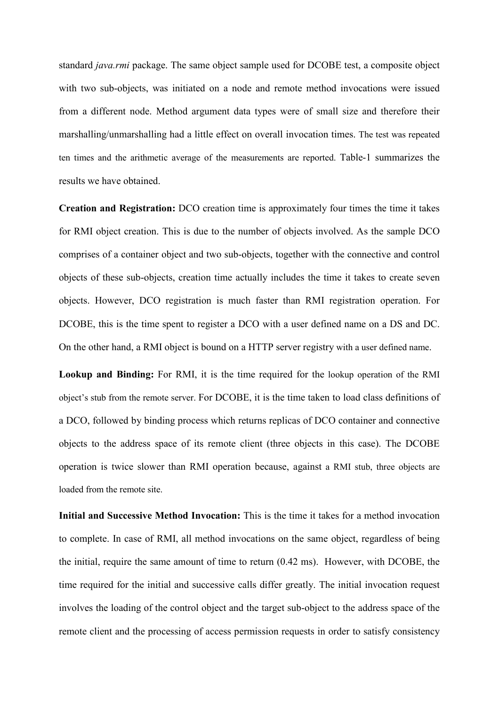standard *java.rmi* package. The same object sample used for DCOBE test, a composite object with two sub-objects, was initiated on a node and remote method invocations were issued from a different node. Method argument data types were of small size and therefore their marshalling/unmarshalling had a little effect on overall invocation times. The test was repeated ten times and the arithmetic average of the measurements are reported. Table-1 summarizes the results we have obtained.

**Creation and Registration:** DCO creation time is approximately four times the time it takes for RMI object creation. This is due to the number of objects involved. As the sample DCO comprises of a container object and two sub-objects, together with the connective and control objects of these sub-objects, creation time actually includes the time it takes to create seven objects. However, DCO registration is much faster than RMI registration operation. For DCOBE, this is the time spent to register a DCO with a user defined name on a DS and DC. On the other hand, a RMI object is bound on a HTTP server registry with a user defined name.

**Lookup and Binding:** For RMI, it is the time required for the lookup operation of the RMI object's stub from the remote server. For DCOBE, it is the time taken to load class definitions of a DCO, followed by binding process which returns replicas of DCO container and connective objects to the address space of its remote client (three objects in this case). The DCOBE operation is twice slower than RMI operation because, against a RMI stub, three objects are loaded from the remote site.

**Initial and Successive Method Invocation:** This is the time it takes for a method invocation to complete. In case of RMI, all method invocations on the same object, regardless of being the initial, require the same amount of time to return (0.42 ms). However, with DCOBE, the time required for the initial and successive calls differ greatly. The initial invocation request involves the loading of the control object and the target sub-object to the address space of the remote client and the processing of access permission requests in order to satisfy consistency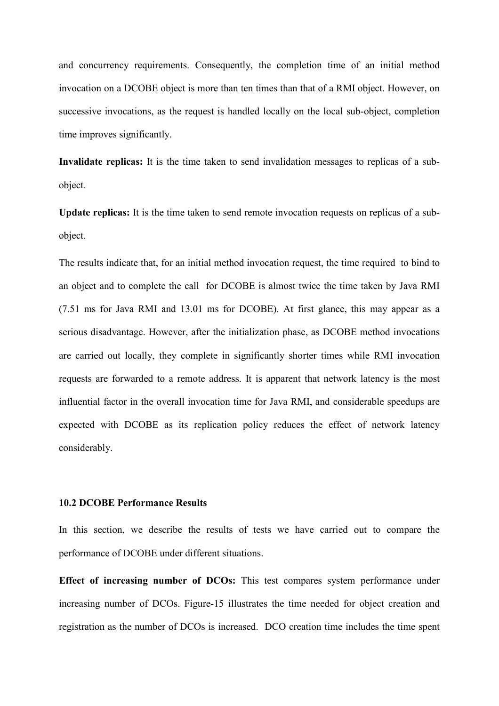and concurrency requirements. Consequently, the completion time of an initial method invocation on a DCOBE object is more than ten times than that of a RMI object. However, on successive invocations, as the request is handled locally on the local sub-object, completion time improves significantly.

**Invalidate replicas:** It is the time taken to send invalidation messages to replicas of a subobject.

**Update replicas:** It is the time taken to send remote invocation requests on replicas of a subobject.

The results indicate that, for an initial method invocation request, the time required to bind to an object and to complete the call for DCOBE is almost twice the time taken by Java RMI (7.51 ms for Java RMI and 13.01 ms for DCOBE). At first glance, this may appear as a serious disadvantage. However, after the initialization phase, as DCOBE method invocations are carried out locally, they complete in significantly shorter times while RMI invocation requests are forwarded to a remote address. It is apparent that network latency is the most influential factor in the overall invocation time for Java RMI, and considerable speedups are expected with DCOBE as its replication policy reduces the effect of network latency considerably.

## **10.2 DCOBE Performance Results**

In this section, we describe the results of tests we have carried out to compare the performance of DCOBE under different situations.

**Effect of increasing number of DCOs:** This test compares system performance under increasing number of DCOs. Figure-15 illustrates the time needed for object creation and registration as the number of DCOs is increased. DCO creation time includes the time spent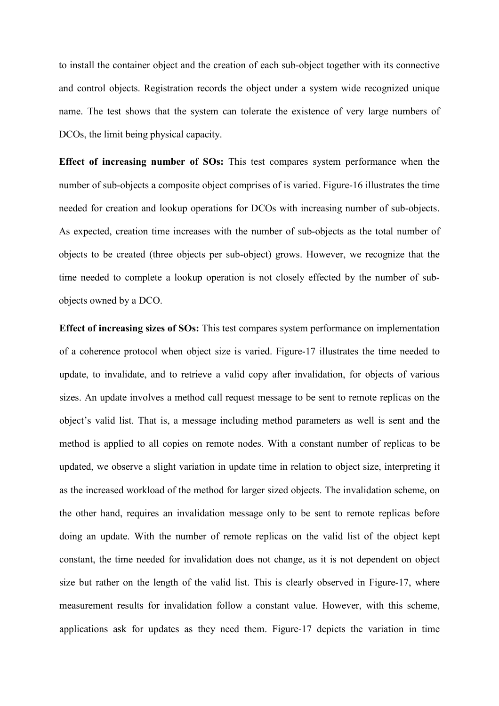to install the container object and the creation of each sub-object together with its connective and control objects. Registration records the object under a system wide recognized unique name. The test shows that the system can tolerate the existence of very large numbers of DCOs, the limit being physical capacity.

**Effect of increasing number of SOs:** This test compares system performance when the number of sub-objects a composite object comprises of is varied. Figure-16 illustrates the time needed for creation and lookup operations for DCOs with increasing number of sub-objects. As expected, creation time increases with the number of sub-objects as the total number of objects to be created (three objects per sub-object) grows. However, we recognize that the time needed to complete a lookup operation is not closely effected by the number of subobjects owned by a DCO.

**Effect of increasing sizes of SOs:** This test compares system performance on implementation of a coherence protocol when object size is varied. Figure-17 illustrates the time needed to update, to invalidate, and to retrieve a valid copy after invalidation, for objects of various sizes. An update involves a method call request message to be sent to remote replicas on the object's valid list. That is, a message including method parameters as well is sent and the method is applied to all copies on remote nodes. With a constant number of replicas to be updated, we observe a slight variation in update time in relation to object size, interpreting it as the increased workload of the method for larger sized objects. The invalidation scheme, on the other hand, requires an invalidation message only to be sent to remote replicas before doing an update. With the number of remote replicas on the valid list of the object kept constant, the time needed for invalidation does not change, as it is not dependent on object size but rather on the length of the valid list. This is clearly observed in Figure-17, where measurement results for invalidation follow a constant value. However, with this scheme, applications ask for updates as they need them. Figure-17 depicts the variation in time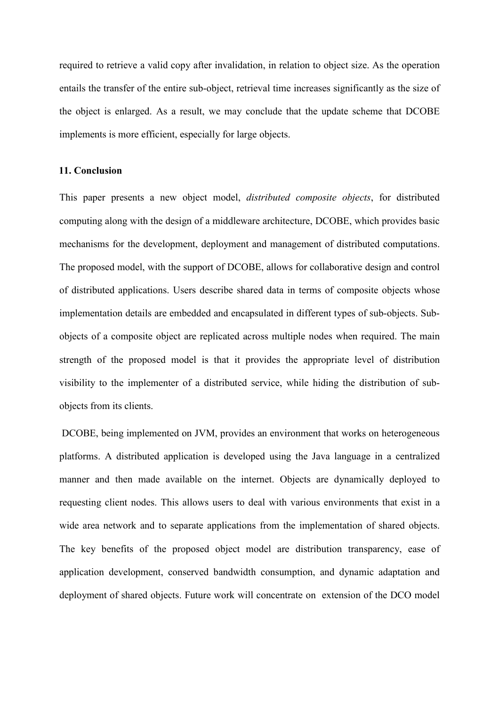required to retrieve a valid copy after invalidation, in relation to object size. As the operation entails the transfer of the entire sub-object, retrieval time increases significantly as the size of the object is enlarged. As a result, we may conclude that the update scheme that DCOBE implements is more efficient, especially for large objects.

## **11. Conclusion**

This paper presents a new object model, *distributed composite objects*, for distributed computing along with the design of a middleware architecture, DCOBE, which provides basic mechanisms for the development, deployment and management of distributed computations. The proposed model, with the support of DCOBE, allows for collaborative design and control of distributed applications. Users describe shared data in terms of composite objects whose implementation details are embedded and encapsulated in different types of sub-objects. Subobjects of a composite object are replicated across multiple nodes when required. The main strength of the proposed model is that it provides the appropriate level of distribution visibility to the implementer of a distributed service, while hiding the distribution of subobjects from its clients.

 DCOBE, being implemented on JVM, provides an environment that works on heterogeneous platforms. A distributed application is developed using the Java language in a centralized manner and then made available on the internet. Objects are dynamically deployed to requesting client nodes. This allows users to deal with various environments that exist in a wide area network and to separate applications from the implementation of shared objects. The key benefits of the proposed object model are distribution transparency, ease of application development, conserved bandwidth consumption, and dynamic adaptation and deployment of shared objects. Future work will concentrate on extension of the DCO model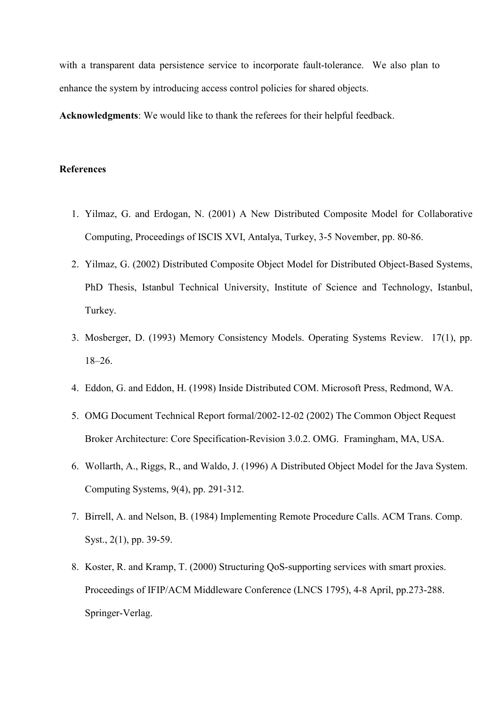with a transparent data persistence service to incorporate fault-tolerance. We also plan to enhance the system by introducing access control policies for shared objects.

**Acknowledgments**: We would like to thank the referees for their helpful feedback.

## **References**

- 1. Yilmaz, G. and Erdogan, N. (2001) A New Distributed Composite Model for Collaborative Computing, Proceedings of ISCIS XVI, Antalya, Turkey, 3-5 November, pp. 80-86.
- 2. Yilmaz, G. (2002) Distributed Composite Object Model for Distributed Object-Based Systems, PhD Thesis, Istanbul Technical University, Institute of Science and Technology, Istanbul, Turkey.
- 3. Mosberger, D. (1993) Memory Consistency Models. Operating Systems Review. 17(1), pp. 18–26.
- 4. Eddon, G. and Eddon, H. (1998) Inside Distributed COM. Microsoft Press, Redmond, WA.
- 5. OMG Document Technical Report formal/2002-12-02 (2002) The Common Object Request Broker Architecture: Core Specification-Revision 3.0.2. OMG. Framingham, MA, USA.
- 6. Wollarth, A., Riggs, R., and Waldo, J. (1996) A Distributed Object Model for the Java System. Computing Systems, 9(4), pp. 291-312.
- 7. Birrell, A. and Nelson, B. (1984) Implementing Remote Procedure Calls. ACM Trans. Comp. Syst., 2(1), pp. 39-59.
- 8. Koster, R. and Kramp, T. (2000) Structuring QoS-supporting services with smart proxies. Proceedings of IFIP/ACM Middleware Conference (LNCS 1795), 4-8 April, pp.273-288. Springer-Verlag.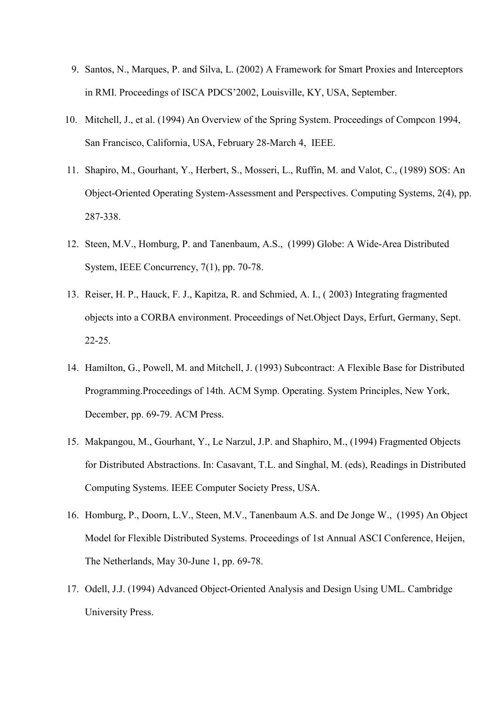- 9. Santos, N., Marques, P. and Silva, L. (2002) A Framework for Smart Proxies and Interceptors in RMI. Proceedings of ISCA PDCS'2002, Louisville, KY, USA, September.
- 10. Mitchell, J., et al. (1994) An Overview of the Spring System. Proceedings of Compcon 1994, San Francisco, California, USA, February 28-March 4, IEEE.
- 11. Shapiro, M., Gourhant, Y., Herbert, S., Mosseri, L., Ruffin, M. and Valot, C., (1989) SOS: An Object-Oriented Operating System-Assessment and Perspectives. Computing Systems, 2(4), pp. 287-338.
- 12. Steen, M.V., Homburg, P. and Tanenbaum, A.S., (1999) Globe: A Wide-Area Distributed System, IEEE Concurrency, 7(1), pp. 70-78.
- 13. Reiser, H. P., Hauck, F. J., Kapitza, R. and Schmied, A. I., ( 2003) Integrating fragmented objects into a CORBA environment. Proceedings of Net.Object Days, Erfurt, Germany, Sept. 22-25.
- 14. Hamilton, G., Powell, M. and Mitchell, J. (1993) Subcontract: A Flexible Base for Distributed Programming.Proceedings of 14th. ACM Symp. Operating. System Principles, New York, December, pp. 69-79. ACM Press.
- 15. Makpangou, M., Gourhant, Y., Le Narzul, J.P. and Shaphiro, M., (1994) Fragmented Objects for Distributed Abstractions. In: Casavant, T.L. and Singhal, M. (eds), Readings in Distributed Computing Systems. IEEE Computer Society Press, USA.
- 16. Homburg, P., Doorn, L.V., Steen, M.V., Tanenbaum A.S. and De Jonge W., (1995) An Object Model for Flexible Distributed Systems. Proceedings of 1st Annual ASCI Conference, Heijen, The Netherlands, May 30-June 1, pp. 69-78.
- 17. Odell, J.J. (1994) Advanced Object-Oriented Analysis and Design Using UML. Cambridge University Press.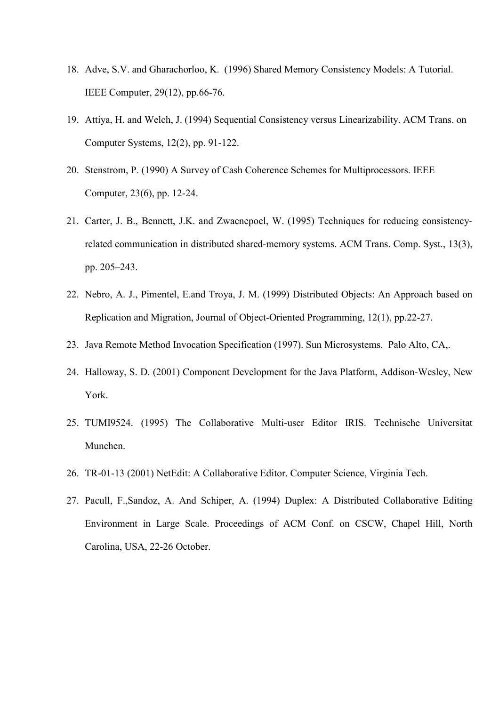- 18. Adve, S.V. and Gharachorloo, K. (1996) Shared Memory Consistency Models: A Tutorial. IEEE Computer, 29(12), pp.66-76.
- 19. Attiya, H. and Welch, J. (1994) Sequential Consistency versus Linearizability. ACM Trans. on Computer Systems, 12(2), pp. 91-122.
- 20. Stenstrom, P. (1990) A Survey of Cash Coherence Schemes for Multiprocessors. IEEE Computer, 23(6), pp. 12-24.
- 21. Carter, J. B., Bennett, J.K. and Zwaenepoel, W. (1995) Techniques for reducing consistencyrelated communication in distributed shared-memory systems. ACM Trans. Comp. Syst., 13(3), pp. 205–243.
- 22. Nebro, A. J., Pimentel, E.and Troya, J. M. (1999) Distributed Objects: An Approach based on Replication and Migration, Journal of Object-Oriented Programming, 12(1), pp.22-27.
- 23. Java Remote Method Invocation Specification (1997). Sun Microsystems. Palo Alto, CA,.
- 24. Halloway, S. D. (2001) Component Development for the Java Platform, Addison-Wesley, New York.
- 25. TUMI9524. (1995) The Collaborative Multi-user Editor IRIS. Technische Universitat Munchen.
- 26. TR-01-13 (2001) NetEdit: A Collaborative Editor. Computer Science, Virginia Tech.
- 27. Pacull, F.,Sandoz, A. And Schiper, A. (1994) Duplex: A Distributed Collaborative Editing Environment in Large Scale. Proceedings of ACM Conf. on CSCW, Chapel Hill, North Carolina, USA, 22-26 October.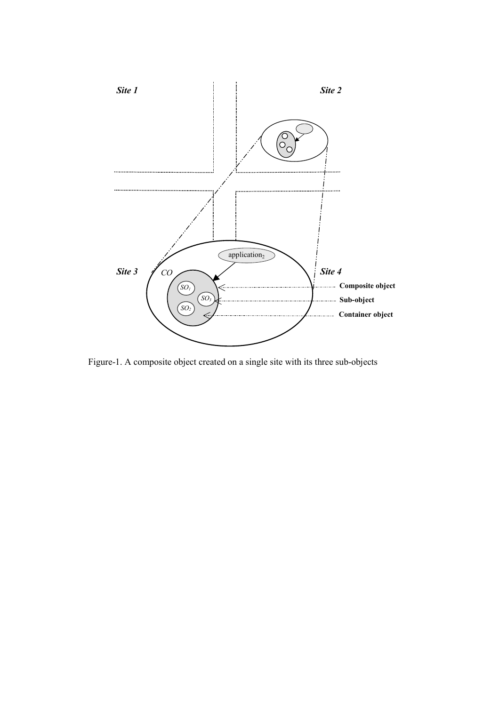

Figure-1. A composite object created on a single site with its three sub-objects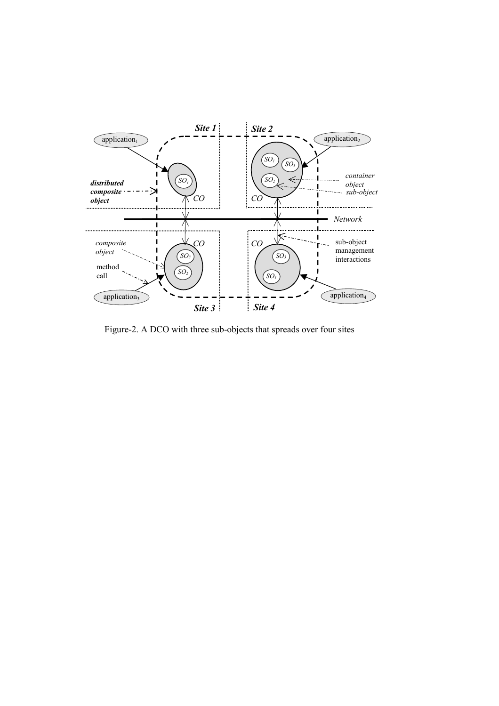

Figure-2. A DCO with three sub-objects that spreads over four sites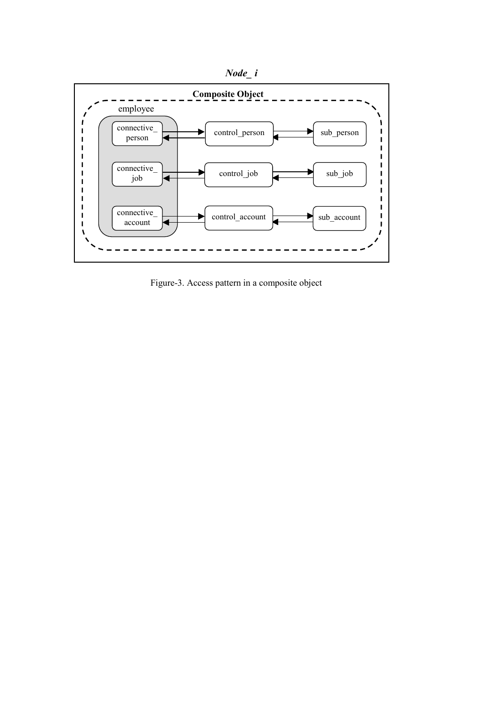

Figure-3. Access pattern in a composite object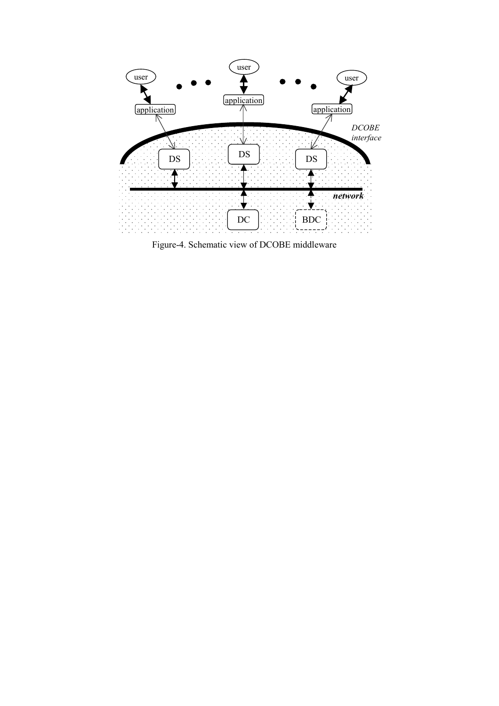

Figure-4. Schematic view of DCOBE middleware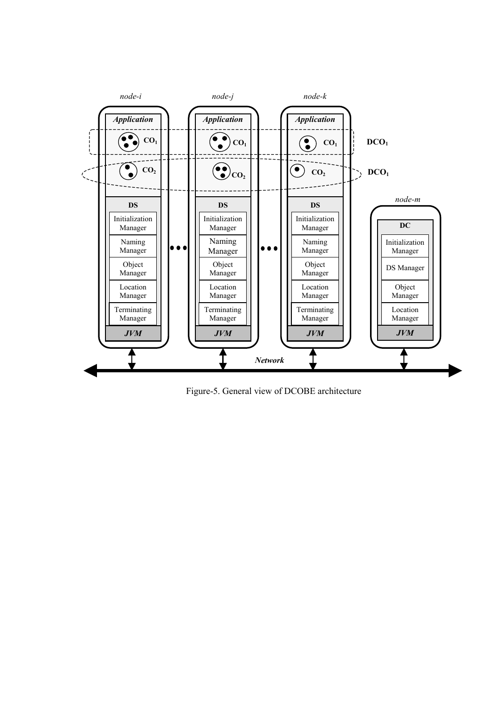

Figure-5. General view of DCOBE architecture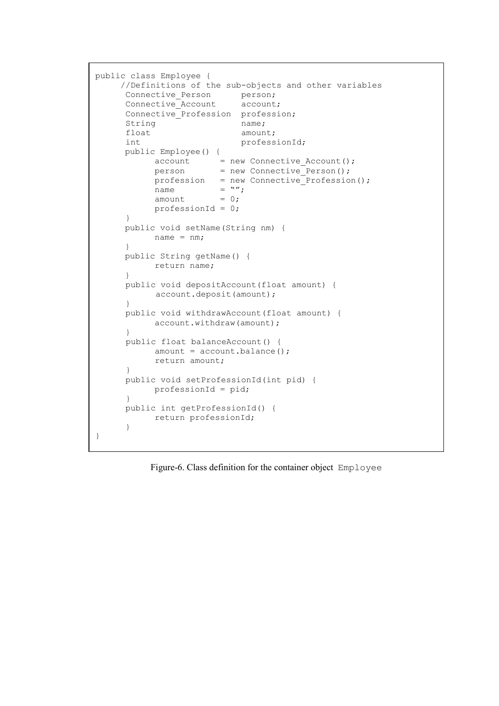```
public class Employee { 
     //Definitions of the sub-objects and other variables<br>Connective_Person person;
      Connective Person
      Connective_Account account; 
      Connective Profession profession;
      String \overline{\phantom{a}} name;<br>float amoun
                               amount;
      int professionId;
       public Employee() { 
      account = new Connective_Account();
      person = new Connective_Person();
            profession = new Connective_Profession();<br>name = \sqrt[n]{ };
            name \blacksquareamount = 0; professionId = 0; 
      }
      public void setName(String nm) { 
            name = nm; } 
       public String getName() { 
            return name; 
       } 
      public void depositAccount(float amount) { 
            account.deposit(amount); 
      }
      public void withdrawAccount(float amount) { 
            account.withdraw(amount);
      }
      public float balanceAccount() { 
            amount = account.balance();
             return amount; 
       } 
      public void setProfessionId(int pid) { 
             professionId = pid; 
       } 
      public int getProfessionId() { 
             return professionId; 
      }
}
```
Figure-6. Class definition for the container object Employee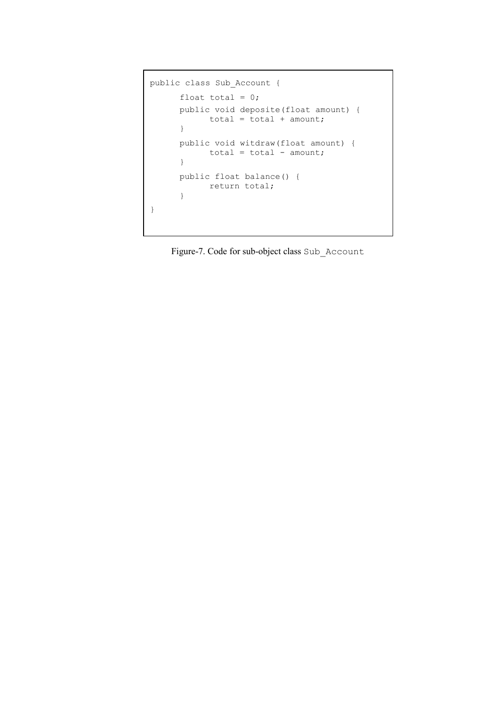```
public class Sub_Account { 
     float total = 0;public void deposite(float amount) { 
           total = total + amount; } 
       public void witdraw(float amount) { 
           total = total - amount; } 
       public float balance() { 
           return total; 
       } 
}
```
Figure-7. Code for sub-object class Sub\_Account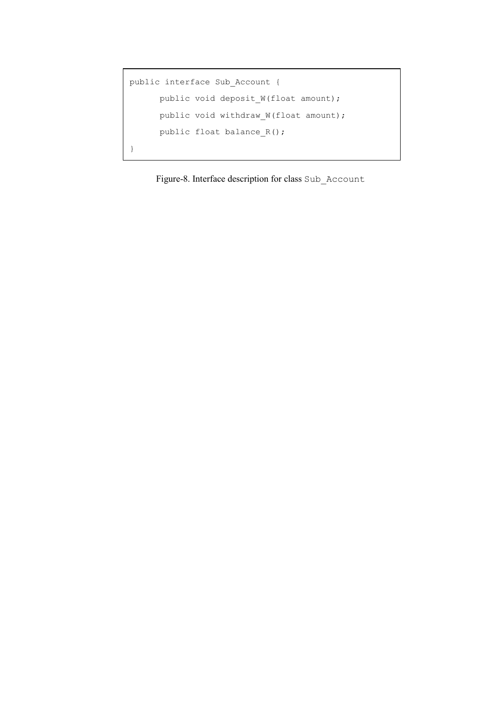```
public interface Sub_Account { 
       public void deposit_W(float amount); 
      public void withdraw_W(float amount); 
      public float balance_R();
}
```
Figure-8. Interface description for class Sub\_Account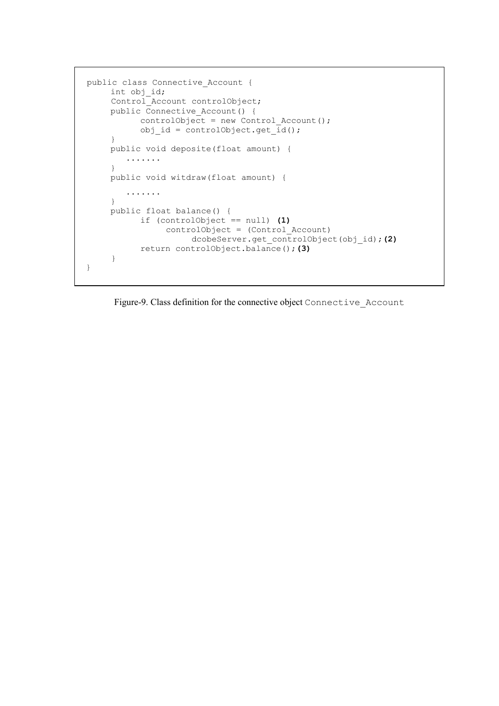```
public class Connective_Account { 
      int obj_id; 
     Control Account controlObject;
      public Connective_Account() { 
            controlObject = new Control\_Account();
             obj_id = controlObject.get_id(); 
      } 
      public void deposite(float amount) { 
         ....... 
      } 
      public void witdraw(float amount) { 
         ....... 
      } 
 public float balance() { 
       if (controlObject == null) (1)
                 controlObject = (Control_Account) 
                      dcobeServer.get_controlObject(obj_id);(2)
           return controlObject.balance();(3)
      }
}
```
Figure-9. Class definition for the connective object Connective\_Account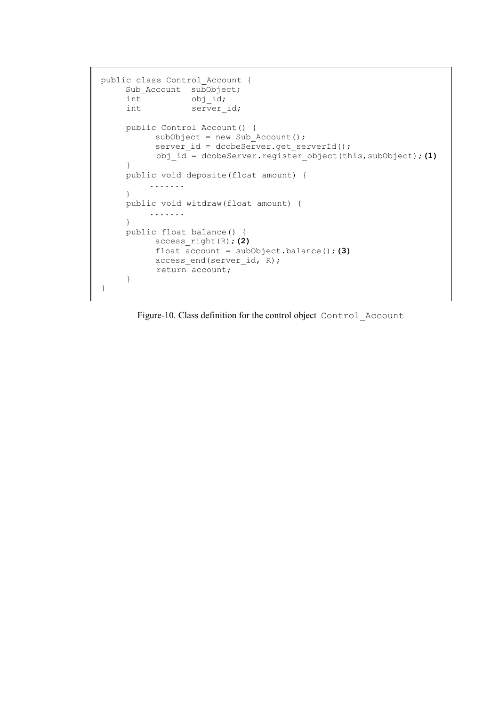```
public class Control_Account { 
      Sub_Account subObject; 
     int obj id;
     int server id;
     public Control_Account() { 
          subObject = new Sub_Account();
          server_id = dcobeServer.get_serverId();
          obj_id = dcobeServer.register_object(this,subObject);(1)
     }
     public void deposite(float amount) { 
         ....... 
      } 
     public void witdraw(float amount) { 
         ....... 
      } 
     public float balance() { 
          access_right(R);(2)
          float account = subObject.balance();(3)
         access end(server id, R);
          return account; 
     }
}
```
Figure-10. Class definition for the control object Control\_Account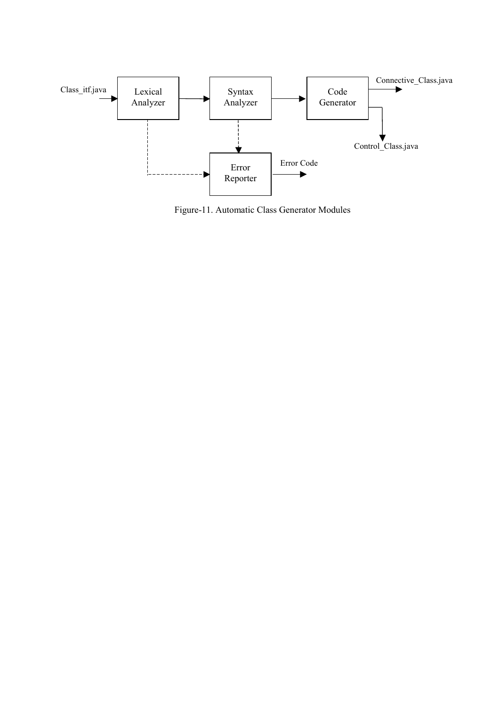

Figure-11. Automatic Class Generator Modules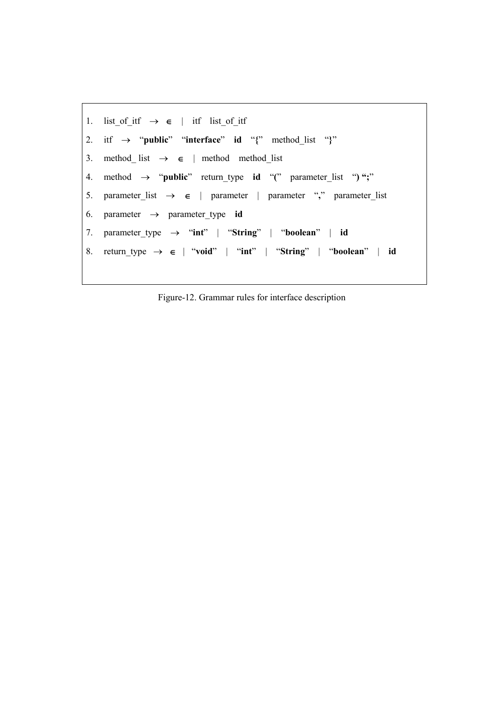

Figure-12. Grammar rules for interface description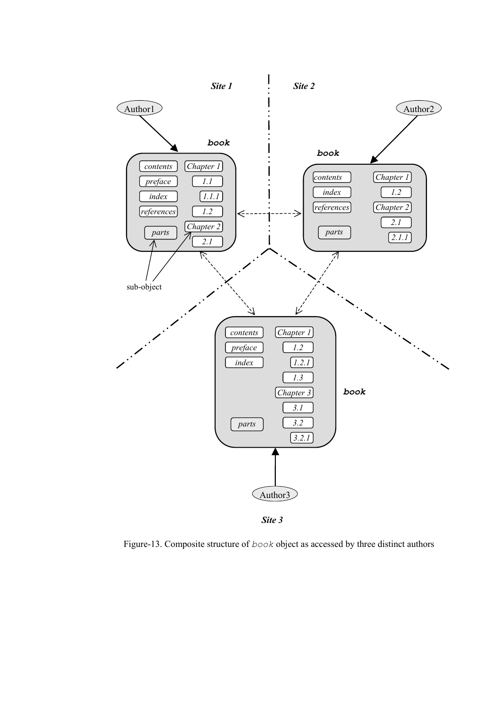

Figure-13. Composite structure of *book* object as accessed by three distinct authors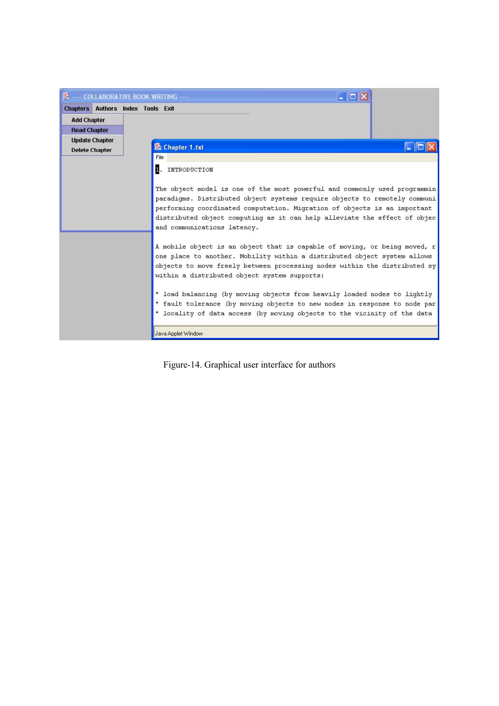| <b>S  COLLABORATIVE BOOK WRITING</b> |                                                                                                                                                                                                                                                                                                                                                |
|--------------------------------------|------------------------------------------------------------------------------------------------------------------------------------------------------------------------------------------------------------------------------------------------------------------------------------------------------------------------------------------------|
| Chapters Authors Index Tools Exit    |                                                                                                                                                                                                                                                                                                                                                |
| <b>Add Chapter</b>                   |                                                                                                                                                                                                                                                                                                                                                |
| <b>Read Chapter</b>                  |                                                                                                                                                                                                                                                                                                                                                |
| <b>Update Chapter</b>                | & Chapter 1.txt                                                                                                                                                                                                                                                                                                                                |
| <b>Delete Chapter</b>                | File                                                                                                                                                                                                                                                                                                                                           |
|                                      | Π.<br>INTRODUCTION                                                                                                                                                                                                                                                                                                                             |
|                                      | The object model is one of the most powerful and commonly used programmin<br>paradigms. Distributed object systems require objects to remotely communi<br>performing coordinated computation. Migration of objects is an important<br>distributed object computing as it can help alleviate the effect of objec<br>and communications latency. |
|                                      | A mobile object is an object that is capable of moving, or being moved, r<br>one place to another. Mobility within a distributed object system allows<br>objects to move freely between processing nodes within the distributed sy<br>within a distributed object system supports:                                                             |
|                                      | * load balancing (by moving objects from heavily loaded nodes to lightly<br>* fault tolerance (by moving objects to new nodes in response to node par<br>* locality of data access (by moving objects to the vicinity of the data                                                                                                              |
|                                      | Java Applet Window                                                                                                                                                                                                                                                                                                                             |

Figure-14. Graphical user interface for authors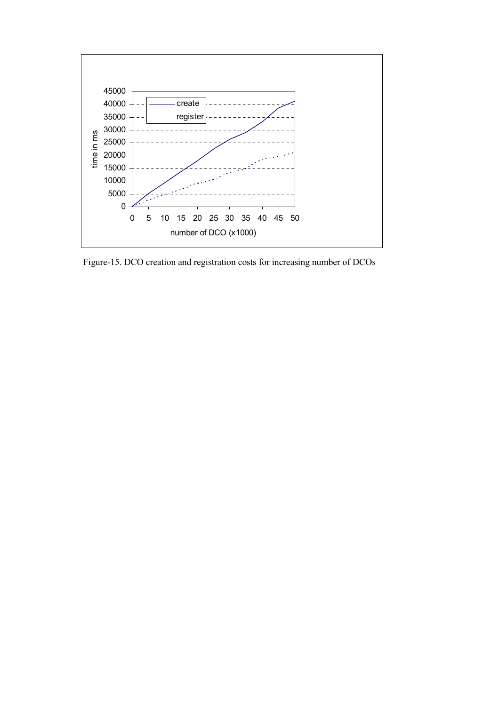

Figure-15. DCO creation and registration costs for increasing number of DCOs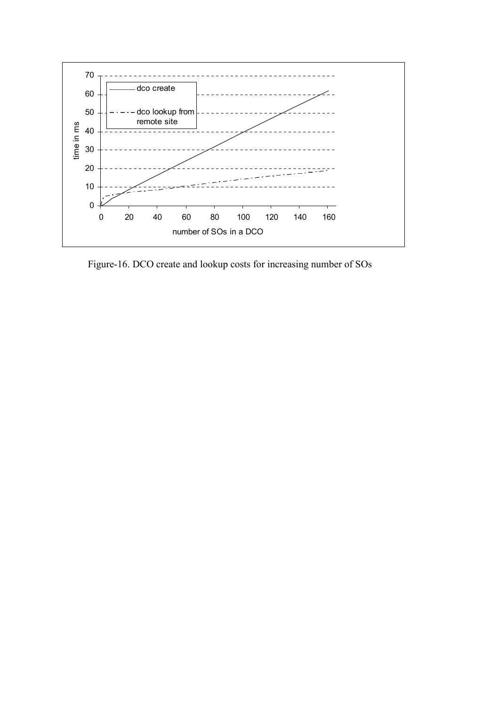

Figure-16. DCO create and lookup costs for increasing number of SOs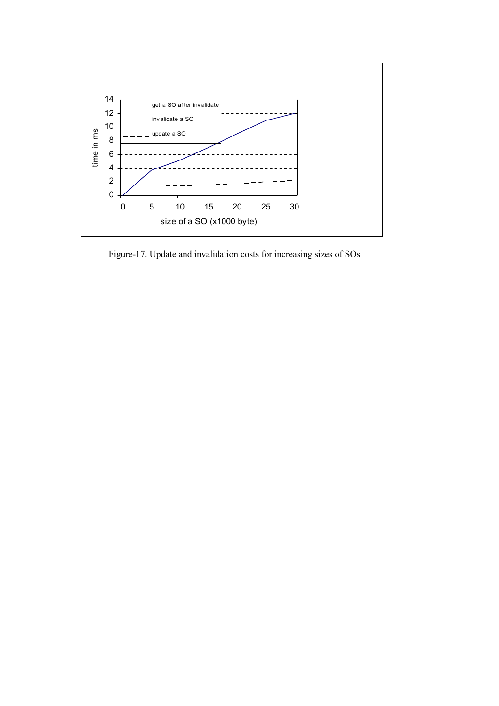

Figure-17. Update and invalidation costs for increasing sizes of SOs